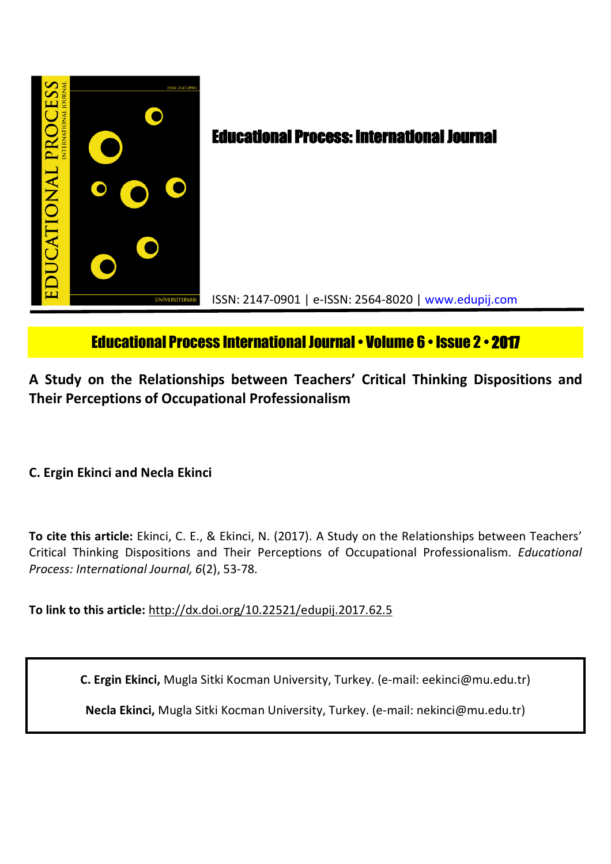

# Educational Process International Journal• Volume 6 • Issue 2 • **2017**

**A Study on the Relationships between Teachers' Critical Thinking Dispositions and Their Perceptions of Occupational Professionalism**

**C. Ergin Ekinci and Necla Ekinci**

**To cite this article:** Ekinci, C. E., & Ekinci, N. (2017). A Study on the Relationships between Teachers' Critical Thinking Dispositions and Their Perceptions of Occupational Professionalism. *Educational Process: International Journal, 6*(2), 53-78.

**To link to this article:** http://dx.doi.org/10.22521/edupij.2017.62.5

**C. Ergin Ekinci,** Mugla Sitki Kocman University, Turkey. (e-mail: eekinci@mu.edu.tr)

**Necla Ekinci,** Mugla Sitki Kocman University, Turkey. (e-mail: nekinci@mu.edu.tr)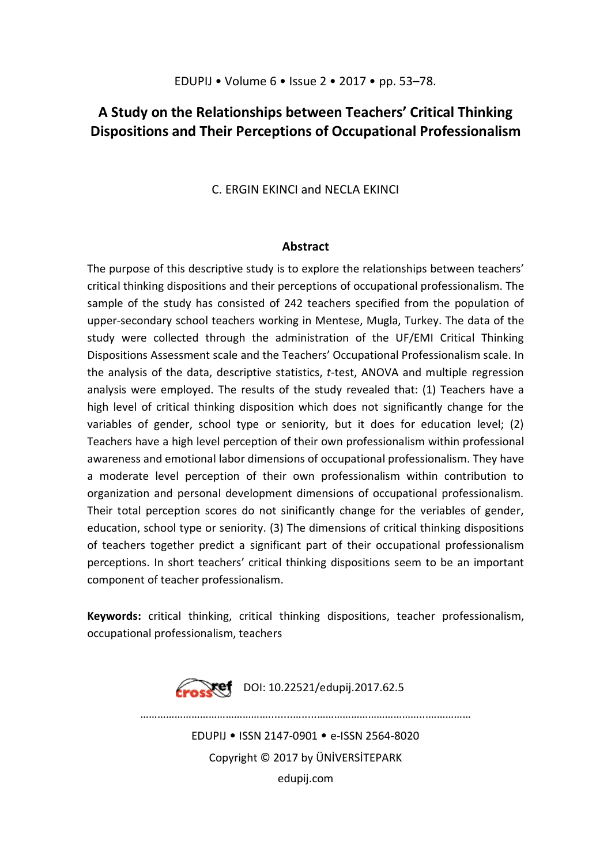# **A Study on the Relationships between Teachers' Critical Thinking Dispositions and Their Perceptions of Occupational Professionalism**

C. ERGIN EKINCI and NECLA EKINCI

# **Abstract**

The purpose of this descriptive study is to explore the relationships between teachers' critical thinking dispositions and their perceptions of occupational professionalism. The sample of the study has consisted of 242 teachers specified from the population of upper-secondary school teachers working in Mentese, Mugla, Turkey. The data of the study were collected through the administration of the UF/EMI Critical Thinking Dispositions Assessment scale and the Teachers' Occupational Professionalism scale. In the analysis of the data, descriptive statistics, *t*-test, ANOVA and multiple regression analysis were employed. The results of the study revealed that: (1) Teachers have a high level of critical thinking disposition which does not significantly change for the variables of gender, school type or seniority, but it does for education level; (2) Teachers have a high level perception of their own professionalism within professional awareness and emotional labor dimensions of occupational professionalism. They have a moderate level perception of their own professionalism within contribution to organization and personal development dimensions of occupational professionalism. Their total perception scores do not sinificantly change for the veriables of gender, education, school type or seniority. (3) The dimensions of critical thinking dispositions of teachers together predict a significant part of their occupational professionalism perceptions. In short teachers' critical thinking dispositions seem to be an important component of teacher professionalism.

**Keywords:** critical thinking, critical thinking dispositions, teacher professionalism, occupational professionalism, teachers



EDUPIJ • ISSN 2147-0901 • e-ISSN 2564-8020 Copyright © 2017 by ÜNİVERSİTEPARK edupij.com

………………………………………........….....………………………………...……………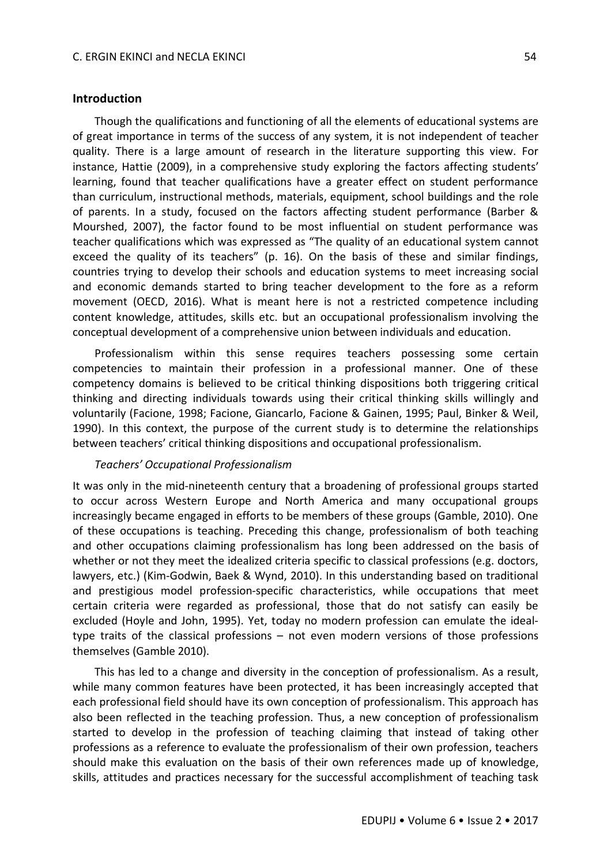#### **Introduction**

Though the qualifications and functioning of all the elements of educational systems are of great importance in terms of the success of any system, it is not independent of teacher quality. There is a large amount of research in the literature supporting this view. For instance, Hattie (2009), in a comprehensive study exploring the factors affecting students' learning, found that teacher qualifications have a greater effect on student performance than curriculum, instructional methods, materials, equipment, school buildings and the role of parents. In a study, focused on the factors affecting student performance (Barber & Mourshed, 2007), the factor found to be most influential on student performance was teacher qualifications which was expressed as "The quality of an educational system cannot exceed the quality of its teachers" (p. 16). On the basis of these and similar findings, countries trying to develop their schools and education systems to meet increasing social and economic demands started to bring teacher development to the fore as a reform movement (OECD, 2016). What is meant here is not a restricted competence including content knowledge, attitudes, skills etc. but an occupational professionalism involving the conceptual development of a comprehensive union between individuals and education.

Professionalism within this sense requires teachers possessing some certain competencies to maintain their profession in a professional manner. One of these competency domains is believed to be critical thinking dispositions both triggering critical thinking and directing individuals towards using their critical thinking skills willingly and voluntarily (Facione, 1998; Facione, Giancarlo, Facione & Gainen, 1995; Paul, Binker & Weil, 1990). In this context, the purpose of the current study is to determine the relationships between teachers' critical thinking dispositions and occupational professionalism.

#### *Teachers' Occupational Professionalism*

It was only in the mid-nineteenth century that a broadening of professional groups started to occur across Western Europe and North America and many occupational groups increasingly became engaged in efforts to be members of these groups (Gamble, 2010). One of these occupations is teaching. Preceding this change, professionalism of both teaching and other occupations claiming professionalism has long been addressed on the basis of whether or not they meet the idealized criteria specific to classical professions (e.g. doctors, lawyers, etc.) (Kim-Godwin, Baek & Wynd, 2010). In this understanding based on traditional and prestigious model profession-specific characteristics, while occupations that meet certain criteria were regarded as professional, those that do not satisfy can easily be excluded (Hoyle and John, 1995). Yet, today no modern profession can emulate the idealtype traits of the classical professions – not even modern versions of those professions themselves (Gamble 2010).

This has led to a change and diversity in the conception of professionalism. As a result, while many common features have been protected, it has been increasingly accepted that each professional field should have its own conception of professionalism. This approach has also been reflected in the teaching profession. Thus, a new conception of professionalism started to develop in the profession of teaching claiming that instead of taking other professions as a reference to evaluate the professionalism of their own profession, teachers should make this evaluation on the basis of their own references made up of knowledge, skills, attitudes and practices necessary for the successful accomplishment of teaching task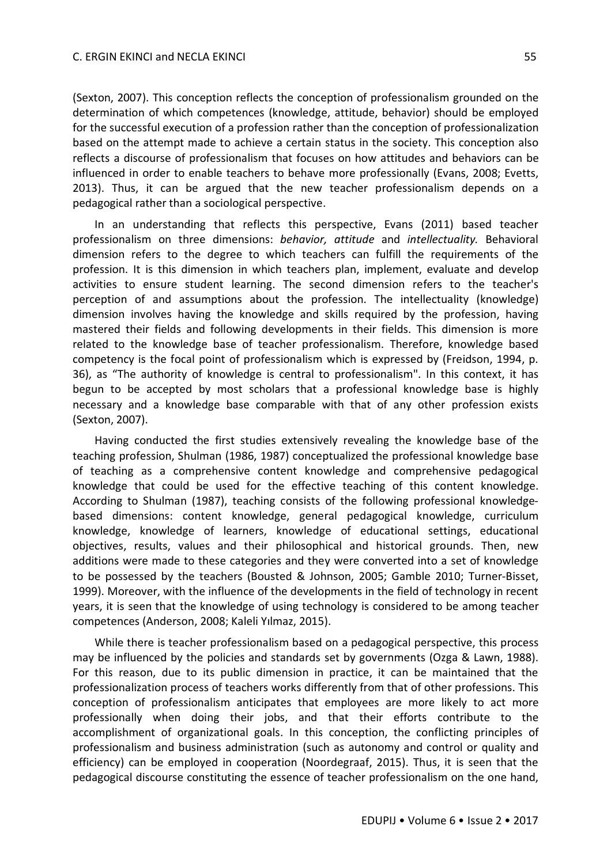(Sexton, 2007). This conception reflects the conception of professionalism grounded on the determination of which competences (knowledge, attitude, behavior) should be employed for the successful execution of a profession rather than the conception of professionalization based on the attempt made to achieve a certain status in the society. This conception also reflects a discourse of professionalism that focuses on how attitudes and behaviors can be influenced in order to enable teachers to behave more professionally (Evans, 2008; Evetts, 2013). Thus, it can be argued that the new teacher professionalism depends on a pedagogical rather than a sociological perspective.

In an understanding that reflects this perspective, Evans (2011) based teacher professionalism on three dimensions: *behavior, attitude* and *intellectuality.* Behavioral dimension refers to the degree to which teachers can fulfill the requirements of the profession. It is this dimension in which teachers plan, implement, evaluate and develop activities to ensure student learning. The second dimension refers to the teacher's perception of and assumptions about the profession. The intellectuality (knowledge) dimension involves having the knowledge and skills required by the profession, having mastered their fields and following developments in their fields. This dimension is more related to the knowledge base of teacher professionalism. Therefore, knowledge based competency is the focal point of professionalism which is expressed by (Freidson, 1994, p. 36), as "The authority of knowledge is central to professionalism". In this context, it has begun to be accepted by most scholars that a professional knowledge base is highly necessary and a knowledge base comparable with that of any other profession exists (Sexton, 2007).

Having conducted the first studies extensively revealing the knowledge base of the teaching profession, Shulman (1986, 1987) conceptualized the professional knowledge base of teaching as a comprehensive content knowledge and comprehensive pedagogical knowledge that could be used for the effective teaching of this content knowledge. According to Shulman (1987), teaching consists of the following professional knowledgebased dimensions: content knowledge, general pedagogical knowledge, curriculum knowledge, knowledge of learners, knowledge of educational settings, educational objectives, results, values and their philosophical and historical grounds. Then, new additions were made to these categories and they were converted into a set of knowledge to be possessed by the teachers (Bousted & Johnson, 2005; Gamble 2010; Turner-Bisset, 1999). Moreover, with the influence of the developments in the field of technology in recent years, it is seen that the knowledge of using technology is considered to be among teacher competences (Anderson, 2008; Kaleli Yılmaz, 2015).

While there is teacher professionalism based on a pedagogical perspective, this process may be influenced by the policies and standards set by governments (Ozga & Lawn, 1988). For this reason, due to its public dimension in practice, it can be maintained that the professionalization process of teachers works differently from that of other professions. This conception of professionalism anticipates that employees are more likely to act more professionally when doing their jobs, and that their efforts contribute to the accomplishment of organizational goals. In this conception, the conflicting principles of professionalism and business administration (such as autonomy and control or quality and efficiency) can be employed in cooperation (Noordegraaf, 2015). Thus, it is seen that the pedagogical discourse constituting the essence of teacher professionalism on the one hand,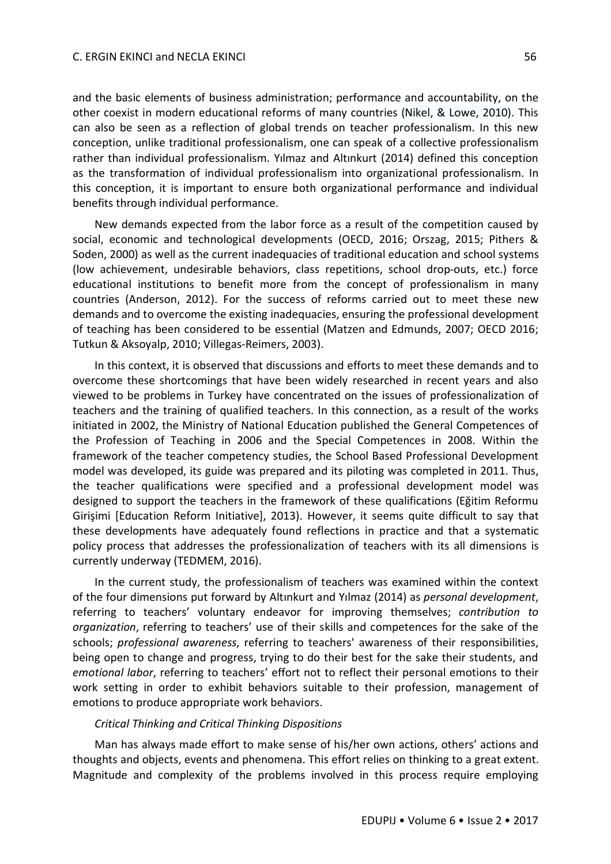and the basic elements of business administration; performance and accountability, on the other coexist in modern educational reforms of many countries (Nikel, & Lowe, 2010). This can also be seen as a reflection of global trends on teacher professionalism. In this new conception, unlike traditional professionalism, one can speak of a collective professionalism rather than individual professionalism. Yılmaz and Altınkurt (2014) defined this conception as the transformation of individual professionalism into organizational professionalism. In this conception, it is important to ensure both organizational performance and individual benefits through individual performance.

New demands expected from the labor force as a result of the competition caused by social, economic and technological developments (OECD, 2016; Orszag, 2015; Pithers & Soden, 2000) as well as the current inadequacies of traditional education and school systems (low achievement, undesirable behaviors, class repetitions, school drop-outs, etc.) force educational institutions to benefit more from the concept of professionalism in many countries (Anderson, 2012). For the success of reforms carried out to meet these new demands and to overcome the existing inadequacies, ensuring the professional development of teaching has been considered to be essential (Matzen and Edmunds, 2007; OECD 2016; Tutkun & Aksoyalp, 2010; Villegas-Reimers, 2003).

In this context, it is observed that discussions and efforts to meet these demands and to overcome these shortcomings that have been widely researched in recent years and also viewed to be problems in Turkey have concentrated on the issues of professionalization of teachers and the training of qualified teachers. In this connection, as a result of the works initiated in 2002, the Ministry of National Education published the General Competences of the Profession of Teaching in 2006 and the Special Competences in 2008. Within the framework of the teacher competency studies, the School Based Professional Development model was developed, its guide was prepared and its piloting was completed in 2011. Thus, the teacher qualifications were specified and a professional development model was designed to support the teachers in the framework of these qualifications (Eğitim Reformu Girişimi [Education Reform Initiative], 2013). However, it seems quite difficult to say that these developments have adequately found reflections in practice and that a systematic policy process that addresses the professionalization of teachers with its all dimensions is currently underway (TEDMEM, 2016).

In the current study, the professionalism of teachers was examined within the context of the four dimensions put forward by Altınkurt and Yılmaz (2014) as *personal development*, referring to teachers' voluntary endeavor for improving themselves; *contribution to organization*, referring to teachers' use of their skills and competences for the sake of the schools; *professional awareness*, referring to teachers' awareness of their responsibilities, being open to change and progress, trying to do their best for the sake their students, and *emotional labor*, referring to teachers' effort not to reflect their personal emotions to their work setting in order to exhibit behaviors suitable to their profession, management of emotions to produce appropriate work behaviors.

#### *Critical Thinking and Critical Thinking Dispositions*

Man has always made effort to make sense of his/her own actions, others' actions and thoughts and objects, events and phenomena. This effort relies on thinking to a great extent. Magnitude and complexity of the problems involved in this process require employing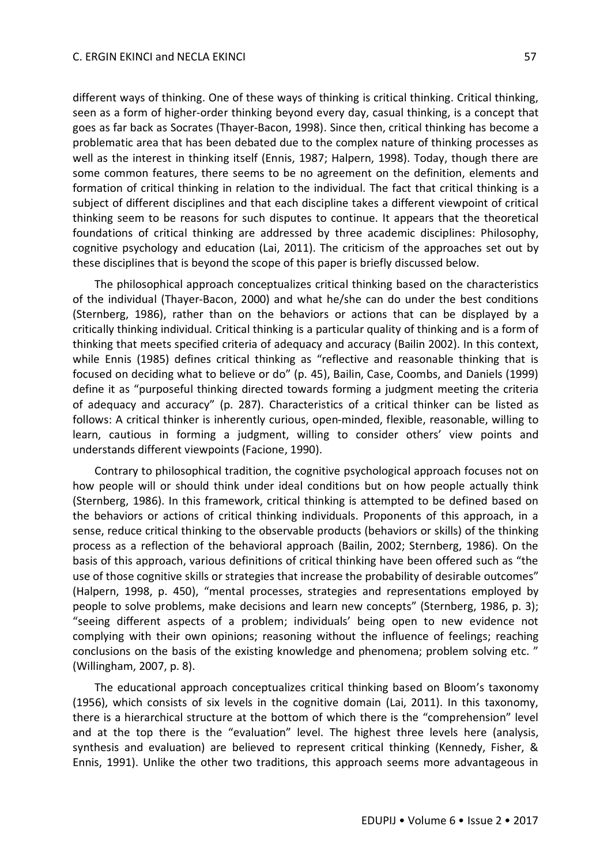different ways of thinking. One of these ways of thinking is critical thinking. Critical thinking, seen as a form of higher-order thinking beyond every day, casual thinking, is a concept that goes as far back as Socrates (Thayer-Bacon, 1998). Since then, critical thinking has become a problematic area that has been debated due to the complex nature of thinking processes as well as the interest in thinking itself (Ennis, 1987; Halpern, 1998). Today, though there are some common features, there seems to be no agreement on the definition, elements and formation of critical thinking in relation to the individual. The fact that critical thinking is a subject of different disciplines and that each discipline takes a different viewpoint of critical thinking seem to be reasons for such disputes to continue. It appears that the theoretical foundations of critical thinking are addressed by three academic disciplines: Philosophy, cognitive psychology and education (Lai, 2011). The criticism of the approaches set out by these disciplines that is beyond the scope of this paper is briefly discussed below.

The philosophical approach conceptualizes critical thinking based on the characteristics of the individual (Thayer-Bacon, 2000) and what he/she can do under the best conditions (Sternberg, 1986), rather than on the behaviors or actions that can be displayed by a critically thinking individual. Critical thinking is a particular quality of thinking and is a form of thinking that meets specified criteria of adequacy and accuracy (Bailin 2002). In this context, while Ennis (1985) defines critical thinking as "reflective and reasonable thinking that is focused on deciding what to believe or do" (p. 45), Bailin, Case, Coombs, and Daniels (1999) define it as "purposeful thinking directed towards forming a judgment meeting the criteria of adequacy and accuracy" (p. 287). Characteristics of a critical thinker can be listed as follows: A critical thinker is inherently curious, open-minded, flexible, reasonable, willing to learn, cautious in forming a judgment, willing to consider others' view points and understands different viewpoints (Facione, 1990).

Contrary to philosophical tradition, the cognitive psychological approach focuses not on how people will or should think under ideal conditions but on how people actually think (Sternberg, 1986). In this framework, critical thinking is attempted to be defined based on the behaviors or actions of critical thinking individuals. Proponents of this approach, in a sense, reduce critical thinking to the observable products (behaviors or skills) of the thinking process as a reflection of the behavioral approach (Bailin, 2002; Sternberg, 1986). On the basis of this approach, various definitions of critical thinking have been offered such as "the use of those cognitive skills or strategies that increase the probability of desirable outcomes" (Halpern, 1998, p. 450), "mental processes, strategies and representations employed by people to solve problems, make decisions and learn new concepts" (Sternberg, 1986, p. 3); "seeing different aspects of a problem; individuals' being open to new evidence not complying with their own opinions; reasoning without the influence of feelings; reaching conclusions on the basis of the existing knowledge and phenomena; problem solving etc. " (Willingham, 2007, p. 8).

The educational approach conceptualizes critical thinking based on Bloom's taxonomy (1956), which consists of six levels in the cognitive domain (Lai, 2011). In this taxonomy, there is a hierarchical structure at the bottom of which there is the "comprehension" level and at the top there is the "evaluation" level. The highest three levels here (analysis, synthesis and evaluation) are believed to represent critical thinking (Kennedy, Fisher, & Ennis, 1991). Unlike the other two traditions, this approach seems more advantageous in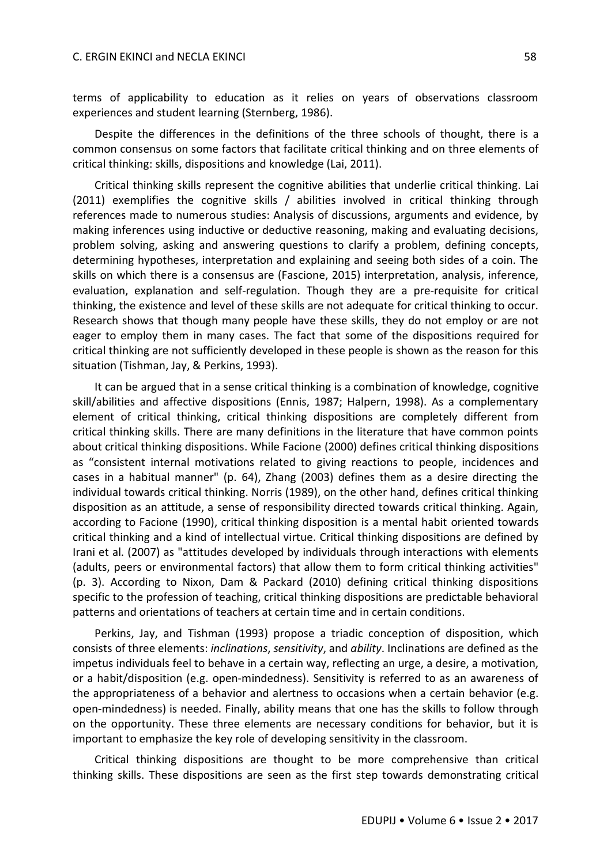terms of applicability to education as it relies on years of observations classroom experiences and student learning (Sternberg, 1986).

Despite the differences in the definitions of the three schools of thought, there is a common consensus on some factors that facilitate critical thinking and on three elements of critical thinking: skills, dispositions and knowledge (Lai, 2011).

Critical thinking skills represent the cognitive abilities that underlie critical thinking. Lai (2011) exemplifies the cognitive skills / abilities involved in critical thinking through references made to numerous studies: Analysis of discussions, arguments and evidence, by making inferences using inductive or deductive reasoning, making and evaluating decisions, problem solving, asking and answering questions to clarify a problem, defining concepts, determining hypotheses, interpretation and explaining and seeing both sides of a coin. The skills on which there is a consensus are (Fascione, 2015) interpretation, analysis, inference, evaluation, explanation and self-regulation. Though they are a pre-requisite for critical thinking, the existence and level of these skills are not adequate for critical thinking to occur. Research shows that though many people have these skills, they do not employ or are not eager to employ them in many cases. The fact that some of the dispositions required for critical thinking are not sufficiently developed in these people is shown as the reason for this situation (Tishman, Jay, & Perkins, 1993).

It can be argued that in a sense critical thinking is a combination of knowledge, cognitive skill/abilities and affective dispositions (Ennis, 1987; Halpern, 1998). As a complementary element of critical thinking, critical thinking dispositions are completely different from critical thinking skills. There are many definitions in the literature that have common points about critical thinking dispositions. While Facione (2000) defines critical thinking dispositions as "consistent internal motivations related to giving reactions to people, incidences and cases in a habitual manner" (p. 64), Zhang (2003) defines them as a desire directing the individual towards critical thinking. Norris (1989), on the other hand, defines critical thinking disposition as an attitude, a sense of responsibility directed towards critical thinking. Again, according to Facione (1990), critical thinking disposition is a mental habit oriented towards critical thinking and a kind of intellectual virtue. Critical thinking dispositions are defined by Irani et al. (2007) as "attitudes developed by individuals through interactions with elements (adults, peers or environmental factors) that allow them to form critical thinking activities" (p. 3). According to Nixon, Dam & Packard (2010) defining critical thinking dispositions specific to the profession of teaching, critical thinking dispositions are predictable behavioral patterns and orientations of teachers at certain time and in certain conditions.

Perkins, Jay, and Tishman (1993) propose a triadic conception of disposition, which consists of three elements: *inclinations*, *sensitivity*, and *ability*. Inclinations are defined as the impetus individuals feel to behave in a certain way, reflecting an urge, a desire, a motivation, or a habit/disposition (e.g. open-mindedness). Sensitivity is referred to as an awareness of the appropriateness of a behavior and alertness to occasions when a certain behavior (e.g. open-mindedness) is needed. Finally, ability means that one has the skills to follow through on the opportunity. These three elements are necessary conditions for behavior, but it is important to emphasize the key role of developing sensitivity in the classroom.

Critical thinking dispositions are thought to be more comprehensive than critical thinking skills. These dispositions are seen as the first step towards demonstrating critical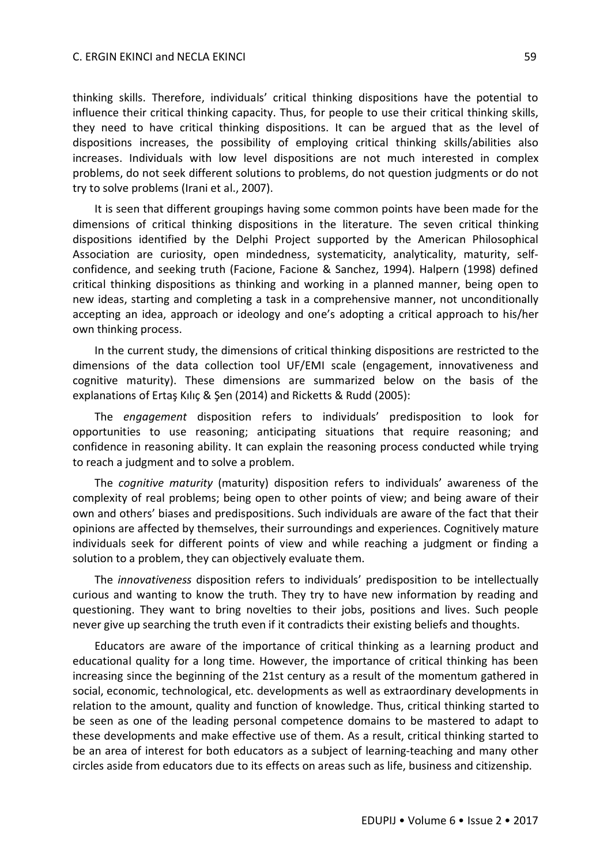thinking skills. Therefore, individuals' critical thinking dispositions have the potential to influence their critical thinking capacity. Thus, for people to use their critical thinking skills, they need to have critical thinking dispositions. It can be argued that as the level of dispositions increases, the possibility of employing critical thinking skills/abilities also increases. Individuals with low level dispositions are not much interested in complex problems, do not seek different solutions to problems, do not question judgments or do not try to solve problems (Irani et al., 2007).

It is seen that different groupings having some common points have been made for the dimensions of critical thinking dispositions in the literature. The seven critical thinking dispositions identified by the Delphi Project supported by the American Philosophical Association are curiosity, open mindedness, systematicity, analyticality, maturity, selfconfidence, and seeking truth (Facione, Facione & Sanchez, 1994). Halpern (1998) defined critical thinking dispositions as thinking and working in a planned manner, being open to new ideas, starting and completing a task in a comprehensive manner, not unconditionally accepting an idea, approach or ideology and one's adopting a critical approach to his/her own thinking process.

In the current study, the dimensions of critical thinking dispositions are restricted to the dimensions of the data collection tool UF/EMI scale (engagement, innovativeness and cognitive maturity). These dimensions are summarized below on the basis of the explanations of Ertaş Kılıç & Şen (2014) and Ricketts & Rudd (2005):

The *engagement* disposition refers to individuals' predisposition to look for opportunities to use reasoning; anticipating situations that require reasoning; and confidence in reasoning ability. It can explain the reasoning process conducted while trying to reach a judgment and to solve a problem.

The *cognitive maturity* (maturity) disposition refers to individuals' awareness of the complexity of real problems; being open to other points of view; and being aware of their own and others' biases and predispositions. Such individuals are aware of the fact that their opinions are affected by themselves, their surroundings and experiences. Cognitively mature individuals seek for different points of view and while reaching a judgment or finding a solution to a problem, they can objectively evaluate them.

The *innovativeness* disposition refers to individuals' predisposition to be intellectually curious and wanting to know the truth. They try to have new information by reading and questioning. They want to bring novelties to their jobs, positions and lives. Such people never give up searching the truth even if it contradicts their existing beliefs and thoughts.

Educators are aware of the importance of critical thinking as a learning product and educational quality for a long time. However, the importance of critical thinking has been increasing since the beginning of the 21st century as a result of the momentum gathered in social, economic, technological, etc. developments as well as extraordinary developments in relation to the amount, quality and function of knowledge. Thus, critical thinking started to be seen as one of the leading personal competence domains to be mastered to adapt to these developments and make effective use of them. As a result, critical thinking started to be an area of interest for both educators as a subject of learning-teaching and many other circles aside from educators due to its effects on areas such as life, business and citizenship.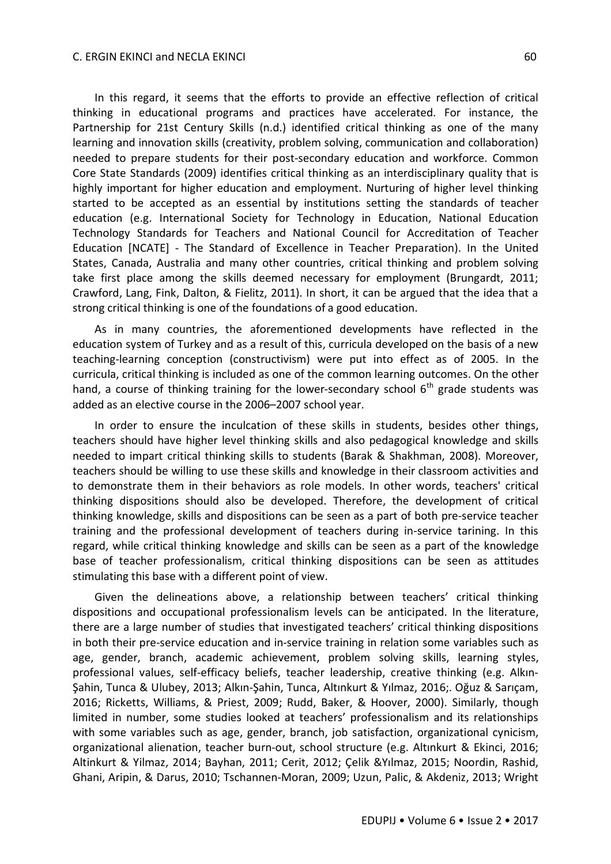In this regard, it seems that the efforts to provide an effective reflection of critical thinking in educational programs and practices have accelerated. For instance, the Partnership for 21st Century Skills (n.d.) identified critical thinking as one of the many learning and innovation skills (creativity, problem solving, communication and collaboration) needed to prepare students for their post-secondary education and workforce. Common Core State Standards (2009) identifies critical thinking as an interdisciplinary quality that is highly important for higher education and employment. Nurturing of higher level thinking started to be accepted as an essential by institutions setting the standards of teacher education (e.g. International Society for Technology in Education, National Education Technology Standards for Teachers and National Council for Accreditation of Teacher Education [NCATE] - The Standard of Excellence in Teacher Preparation). In the United States, Canada, Australia and many other countries, critical thinking and problem solving take first place among the skills deemed necessary for employment (Brungardt, 2011; Crawford, Lang, Fink, Dalton, & Fielitz, 2011). In short, it can be argued that the idea that a strong critical thinking is one of the foundations of a good education.

As in many countries, the aforementioned developments have reflected in the education system of Turkey and as a result of this, curricula developed on the basis of a new teaching-learning conception (constructivism) were put into effect as of 2005. In the curricula, critical thinking is included as one of the common learning outcomes. On the other hand, a course of thinking training for the lower-secondary school  $6<sup>th</sup>$  grade students was added as an elective course in the 2006–2007 school year.

In order to ensure the inculcation of these skills in students, besides other things, teachers should have higher level thinking skills and also pedagogical knowledge and skills needed to impart critical thinking skills to students (Barak & Shakhman, 2008). Moreover, teachers should be willing to use these skills and knowledge in their classroom activities and to demonstrate them in their behaviors as role models. In other words, teachers' critical thinking dispositions should also be developed. Therefore, the development of critical thinking knowledge, skills and dispositions can be seen as a part of both pre-service teacher training and the professional development of teachers during in-service tarining. In this regard, while critical thinking knowledge and skills can be seen as a part of the knowledge base of teacher professionalism, critical thinking dispositions can be seen as attitudes stimulating this base with a different point of view.

Given the delineations above, a relationship between teachers' critical thinking dispositions and occupational professionalism levels can be anticipated. In the literature, there are a large number of studies that investigated teachers' critical thinking dispositions in both their pre-service education and in-service training in relation some variables such as age, gender, branch, academic achievement, problem solving skills, learning styles, professional values, self-efficacy beliefs, teacher leadership, creative thinking (e.g. Alkın-Şahin, Tunca & Ulubey, 2013; Alkın-Şahin, Tunca, Altınkurt & Yılmaz, 2016;. Oğuz & Sarıçam, 2016; Ricketts, Williams, & Priest, 2009; Rudd, Baker, & Hoover, 2000). Similarly, though limited in number, some studies looked at teachers' professionalism and its relationships with some variables such as age, gender, branch, job satisfaction, organizational cynicism, organizational alienation, teacher burn-out, school structure (e.g. Altınkurt & Ekinci, 2016; Altinkurt & Yilmaz, 2014; Bayhan, 2011; Cerit, 2012; Çelik &Yılmaz, 2015; Noordin, Rashid, Ghani, Aripin, & Darus, 2010; Tschannen-Moran, 2009; Uzun, Palic, & Akdeniz, 2013; Wright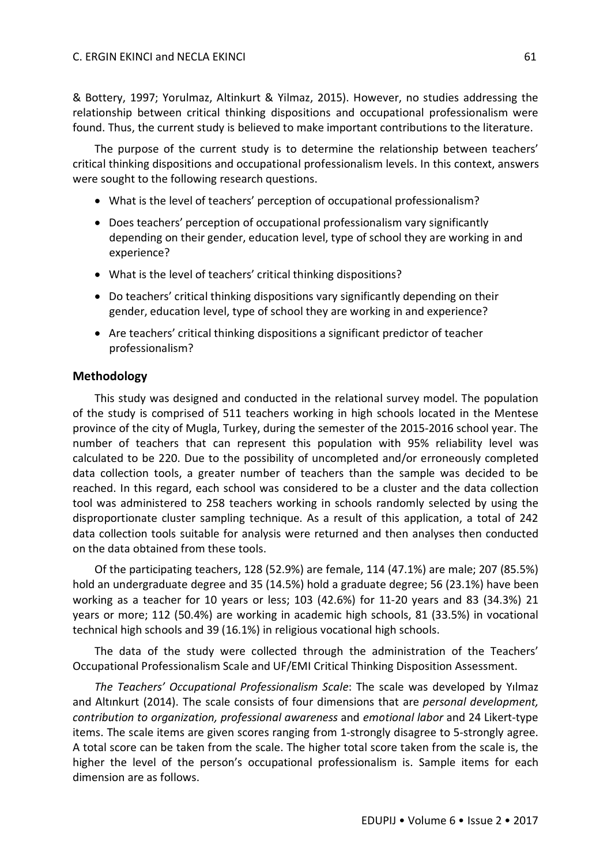& Bottery, 1997; Yorulmaz, Altinkurt & Yilmaz, 2015). However, no studies addressing the relationship between critical thinking dispositions and occupational professionalism were found. Thus, the current study is believed to make important contributions to the literature.

The purpose of the current study is to determine the relationship between teachers' critical thinking dispositions and occupational professionalism levels. In this context, answers were sought to the following research questions.

- What is the level of teachers' perception of occupational professionalism?
- Does teachers' perception of occupational professionalism vary significantly depending on their gender, education level, type of school they are working in and experience?
- What is the level of teachers' critical thinking dispositions?
- Do teachers' critical thinking dispositions vary significantly depending on their gender, education level, type of school they are working in and experience?
- Are teachers' critical thinking dispositions a significant predictor of teacher professionalism?

# **Methodology**

This study was designed and conducted in the relational survey model. The population of the study is comprised of 511 teachers working in high schools located in the Mentese province of the city of Mugla, Turkey, during the semester of the 2015-2016 school year. The number of teachers that can represent this population with 95% reliability level was calculated to be 220. Due to the possibility of uncompleted and/or erroneously completed data collection tools, a greater number of teachers than the sample was decided to be reached. In this regard, each school was considered to be a cluster and the data collection tool was administered to 258 teachers working in schools randomly selected by using the disproportionate cluster sampling technique. As a result of this application, a total of 242 data collection tools suitable for analysis were returned and then analyses then conducted on the data obtained from these tools.

Of the participating teachers, 128 (52.9%) are female, 114 (47.1%) are male; 207 (85.5%) hold an undergraduate degree and 35 (14.5%) hold a graduate degree; 56 (23.1%) have been working as a teacher for 10 years or less; 103 (42.6%) for 11-20 years and 83 (34.3%) 21 years or more; 112 (50.4%) are working in academic high schools, 81 (33.5%) in vocational technical high schools and 39 (16.1%) in religious vocational high schools.

The data of the study were collected through the administration of the Teachers' Occupational Professionalism Scale and UF/EMI Critical Thinking Disposition Assessment.

*The Teachers' Occupational Professionalism Scale*: The scale was developed by Yılmaz and Altınkurt (2014). The scale consists of four dimensions that are *personal development, contribution to organization, professional awareness* and *emotional labor* and 24 Likert-type items. The scale items are given scores ranging from 1-strongly disagree to 5-strongly agree. A total score can be taken from the scale. The higher total score taken from the scale is, the higher the level of the person's occupational professionalism is. Sample items for each dimension are as follows.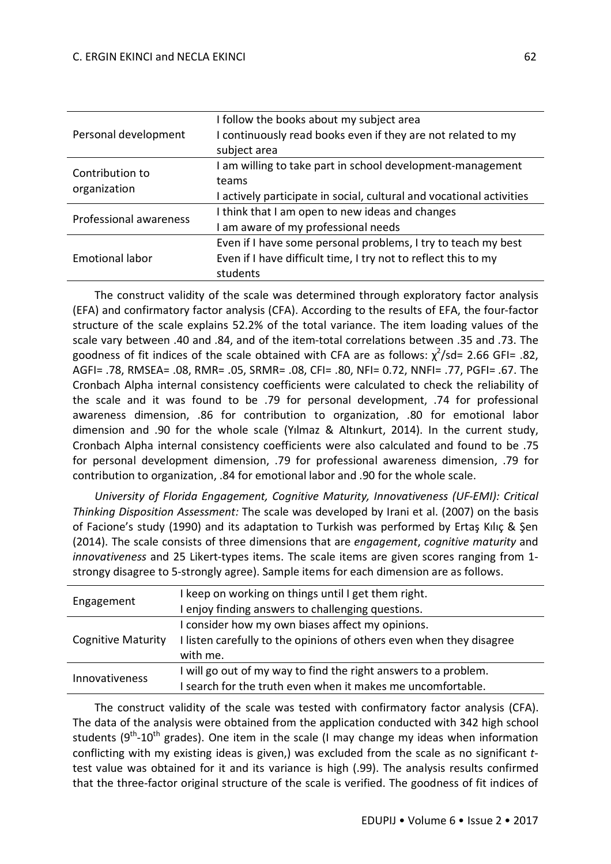| Personal development            | I follow the books about my subject area<br>I continuously read books even if they are not related to my<br>subject area                    |  |  |  |  |
|---------------------------------|---------------------------------------------------------------------------------------------------------------------------------------------|--|--|--|--|
| Contribution to<br>organization | I am willing to take part in school development-management<br>teams<br>I actively participate in social, cultural and vocational activities |  |  |  |  |
| Professional awareness          | I think that I am open to new ideas and changes<br>am aware of my professional needs                                                        |  |  |  |  |
| <b>Emotional labor</b>          | Even if I have some personal problems, I try to teach my best<br>Even if I have difficult time, I try not to reflect this to my<br>students |  |  |  |  |

The construct validity of the scale was determined through exploratory factor analysis (EFA) and confirmatory factor analysis (CFA). According to the results of EFA, the four-factor structure of the scale explains 52.2% of the total variance. The item loading values of the scale vary between .40 and .84, and of the item-total correlations between .35 and .73. The goodness of fit indices of the scale obtained with CFA are as follows:  $\chi^2$ /sd= 2.66 GFI= .82, AGFI= .78, RMSEA= .08, RMR= .05, SRMR= .08, CFI= .80, NFI= 0.72, NNFI= .77, PGFI= .67. The Cronbach Alpha internal consistency coefficients were calculated to check the reliability of the scale and it was found to be .79 for personal development, .74 for professional awareness dimension, .86 for contribution to organization, .80 for emotional labor dimension and .90 for the whole scale (Yılmaz & Altınkurt, 2014). In the current study, Cronbach Alpha internal consistency coefficients were also calculated and found to be .75 for personal development dimension, .79 for professional awareness dimension, .79 for contribution to organization, .84 for emotional labor and .90 for the whole scale.

*University of Florida Engagement, Cognitive Maturity, Innovativeness (UF-EMI): Critical Thinking Disposition Assessment:* The scale was developed by Irani et al. (2007) on the basis of Facione's study (1990) and its adaptation to Turkish was performed by Ertaş Kılıç & Şen (2014). The scale consists of three dimensions that are *engagement*, *cognitive maturity* and *innovativeness* and 25 Likert-types items. The scale items are given scores ranging from 1 strongy disagree to 5-strongly agree). Sample items for each dimension are as follows.

| Engagement                | I keep on working on things until I get them right.                  |  |  |  |  |
|---------------------------|----------------------------------------------------------------------|--|--|--|--|
|                           | I enjoy finding answers to challenging questions.                    |  |  |  |  |
|                           | I consider how my own biases affect my opinions.                     |  |  |  |  |
| <b>Cognitive Maturity</b> | I listen carefully to the opinions of others even when they disagree |  |  |  |  |
|                           | with me.                                                             |  |  |  |  |
| Innovativeness            | will go out of my way to find the right answers to a problem.        |  |  |  |  |
|                           | search for the truth even when it makes me uncomfortable.            |  |  |  |  |
|                           |                                                                      |  |  |  |  |

The construct validity of the scale was tested with confirmatory factor analysis (CFA). The data of the analysis were obtained from the application conducted with 342 high school students (9<sup>th</sup>-10<sup>th</sup> grades). One item in the scale (I may change my ideas when information conflicting with my existing ideas is given,) was excluded from the scale as no significant *t*test value was obtained for it and its variance is high (.99). The analysis results confirmed that the three-factor original structure of the scale is verified. The goodness of fit indices of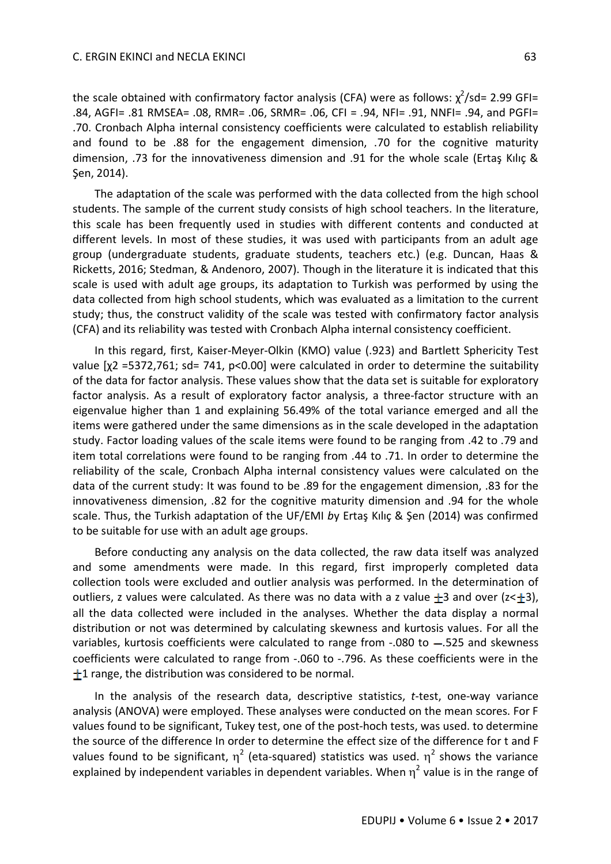the scale obtained with confirmatory factor analysis (CFA) were as follows:  $\chi^2$ /sd= 2.99 GFI= .84, AGFI= .81 RMSEA= .08, RMR= .06, SRMR= .06, CFI = .94, NFI= .91, NNFI= .94, and PGFI= .70. Cronbach Alpha internal consistency coefficients were calculated to establish reliability and found to be .88 for the engagement dimension, .70 for the cognitive maturity dimension, .73 for the innovativeness dimension and .91 for the whole scale (Ertaş Kılıç & Şen, 2014).

The adaptation of the scale was performed with the data collected from the high school students. The sample of the current study consists of high school teachers. In the literature, this scale has been frequently used in studies with different contents and conducted at different levels. In most of these studies, it was used with participants from an adult age group (undergraduate students, graduate students, teachers etc.) (e.g. Duncan, Haas & Ricketts, 2016; Stedman, & Andenoro, 2007). Though in the literature it is indicated that this scale is used with adult age groups, its adaptation to Turkish was performed by using the data collected from high school students, which was evaluated as a limitation to the current study; thus, the construct validity of the scale was tested with confirmatory factor analysis (CFA) and its reliability was tested with Cronbach Alpha internal consistency coefficient.

In this regard, first, Kaiser-Meyer-Olkin (KMO) value (.923) and Bartlett Sphericity Test value [χ2 =5372,761; sd= 741, p<0.00] were calculated in order to determine the suitability of the data for factor analysis. These values show that the data set is suitable for exploratory factor analysis. As a result of exploratory factor analysis, a three-factor structure with an eigenvalue higher than 1 and explaining 56.49% of the total variance emerged and all the items were gathered under the same dimensions as in the scale developed in the adaptation study. Factor loading values of the scale items were found to be ranging from .42 to .79 and item total correlations were found to be ranging from .44 to .71. In order to determine the reliability of the scale, Cronbach Alpha internal consistency values were calculated on the data of the current study: It was found to be .89 for the engagement dimension, .83 for the innovativeness dimension, .82 for the cognitive maturity dimension and .94 for the whole scale. Thus, the Turkish adaptation of the UF/EMI *b*y Ertaş Kılıç & Şen (2014) was confirmed to be suitable for use with an adult age groups.

Before conducting any analysis on the data collected, the raw data itself was analyzed and some amendments were made. In this regard, first improperly completed data collection tools were excluded and outlier analysis was performed. In the determination of outliers, z values were calculated. As there was no data with a z value  $\pm$ 3 and over (z< $\pm$ 3), all the data collected were included in the analyses. Whether the data display a normal distribution or not was determined by calculating skewness and kurtosis values. For all the variables, kurtosis coefficients were calculated to range from  $-.080$  to  $-.525$  and skewness coefficients were calculated to range from -.060 to -.796. As these coefficients were in the  $+1$  range, the distribution was considered to be normal.

In the analysis of the research data, descriptive statistics, *t*-test, one-way variance analysis (ANOVA) were employed. These analyses were conducted on the mean scores. For F values found to be significant, Tukey test, one of the post-hoch tests, was used. to determine the source of the difference In order to determine the effect size of the difference for t and F values found to be significant,  $\eta^2$  (eta-squared) statistics was used.  $\eta^2$  shows the variance explained by independent variables in dependent variables. When  $\eta^2$  value is in the range of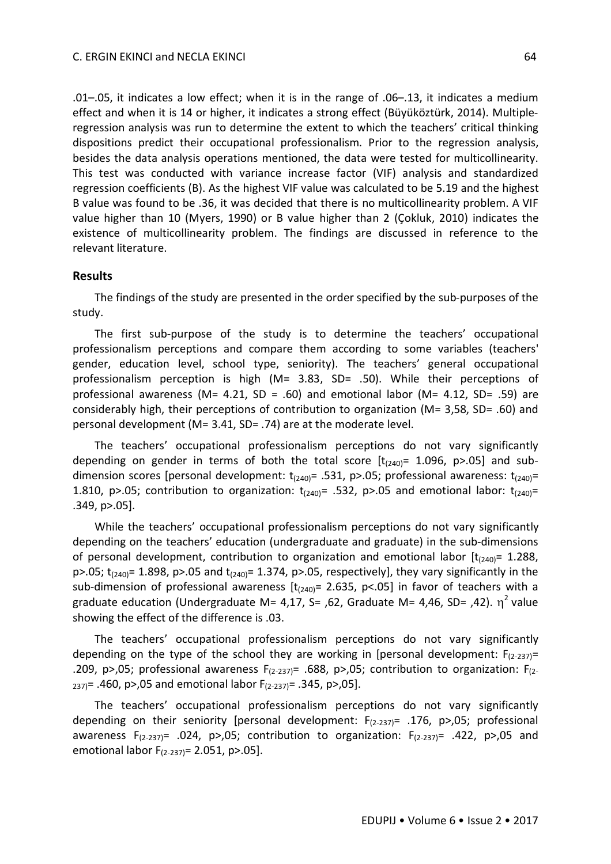.01–.05, it indicates a low effect; when it is in the range of .06–.13, it indicates a medium effect and when it is 14 or higher, it indicates a strong effect (Büyüköztürk, 2014). Multipleregression analysis was run to determine the extent to which the teachers' critical thinking dispositions predict their occupational professionalism. Prior to the regression analysis, besides the data analysis operations mentioned, the data were tested for multicollinearity. This test was conducted with variance increase factor (VIF) analysis and standardized regression coefficients (B). As the highest VIF value was calculated to be 5.19 and the highest B value was found to be .36, it was decided that there is no multicollinearity problem. A VIF value higher than 10 (Myers, 1990) or B value higher than 2 (Çokluk, 2010) indicates the existence of multicollinearity problem. The findings are discussed in reference to the relevant literature.

#### **Results**

The findings of the study are presented in the order specified by the sub-purposes of the study.

The first sub-purpose of the study is to determine the teachers' occupational professionalism perceptions and compare them according to some variables (teachers' gender, education level, school type, seniority). The teachers' general occupational professionalism perception is high (M= 3.83, SD= .50). While their perceptions of professional awareness (M= 4.21, SD = .60) and emotional labor (M= 4.12, SD= .59) are considerably high, their perceptions of contribution to organization (M= 3,58, SD= .60) and personal development (M= 3.41, SD= .74) are at the moderate level.

The teachers' occupational professionalism perceptions do not vary significantly depending on gender in terms of both the total score  $[t<sub>(240)</sub> = 1.096, p>0.05]$  and subdimension scores [personal development:  $t_{(240)}$ = .531, p>.05; professional awareness:  $t_{(240)}$ = 1.810, p>.05; contribution to organization:  $t_{(240)}$ = .532, p>.05 and emotional labor:  $t_{(240)}$ = .349, p>.05].

While the teachers' occupational professionalism perceptions do not vary significantly depending on the teachers' education (undergraduate and graduate) in the sub-dimensions of personal development, contribution to organization and emotional labor  $[t<sub>(240)</sub>] = 1.288$ , p>.05;  $t_{(240)}$ = 1.898, p>.05 and  $t_{(240)}$ = 1.374, p>.05, respectively], they vary significantly in the sub-dimension of professional awareness  $[t<sub>(240)</sub> = 2.635, p<.05]$  in favor of teachers with a graduate education (Undergraduate M= 4,17, S= ,62, Graduate M= 4,46, SD= ,42).  $\eta^2$  value showing the effect of the difference is .03.

The teachers' occupational professionalism perceptions do not vary significantly depending on the type of the school they are working in [personal development:  $F_{(2-237)}=$ .209, p>,05; professional awareness  $F_{(2-237)} = .688$ , p>,05; contribution to organization:  $F_{(2-237)}$  $_{237}$  = .460, p>,05 and emotional labor F<sub>(2-237)</sub> = .345, p>,05].

The teachers' occupational professionalism perceptions do not vary significantly depending on their seniority [personal development:  $F_{(2-237)}=$  .176, p>,05; professional awareness  $F_{(2-237)}=$  .024, p>,05; contribution to organization:  $F_{(2-237)}=$  .422, p>,05 and emotional labor  $F_{(2-237)} = 2.051$ , p>.05].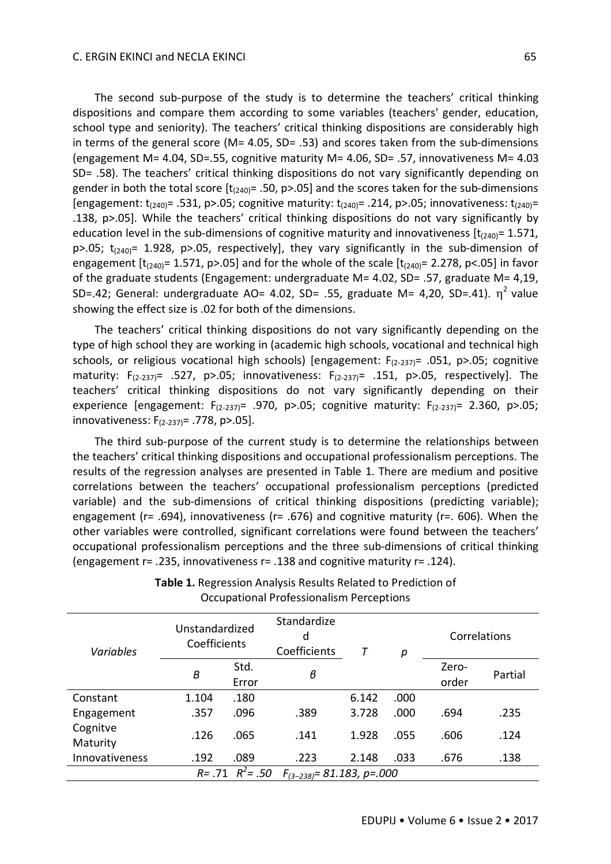The second sub-purpose of the study is to determine the teachers' critical thinking dispositions and compare them according to some variables (teachers' gender, education, school type and seniority). The teachers' critical thinking dispositions are considerably high in terms of the general score (M= 4.05, SD= .53) and scores taken from the sub-dimensions (engagement M= 4.04, SD=.55, cognitive maturity M= 4.06, SD= .57, innovativeness M= 4.03 SD= .58). The teachers' critical thinking dispositions do not vary significantly depending on gender in both the total score  $[t<sub>(240)</sub> = .50, p>0.05]$  and the scores taken for the sub-dimensions [engagement:  $t_{(240)}$ = .531, p>.05; cognitive maturity:  $t_{(240)}$ = .214, p>.05; innovativeness:  $t_{(240)}$ = .138, p>.05]. While the teachers' critical thinking dispositions do not vary significantly by education level in the sub-dimensions of cognitive maturity and innovativeness  $[t<sub>(240)</sub> = 1.571,$  $p$ >.05;  $t_{(240)}$ = 1.928,  $p$ >.05, respectively], they vary significantly in the sub-dimension of engagement  $[t<sub>(240)</sub>] = 1.571$ , p>.05] and for the whole of the scale  $[t<sub>(240)</sub>] = 2.278$ , p<.05] in favor of the graduate students (Engagement: undergraduate M= 4.02, SD= .57, graduate M= 4,19, SD=.42; General: undergraduate AO= 4.02, SD= .55, graduate M= 4,20, SD=.41).  $\eta^2$  value showing the effect size is .02 for both of the dimensions.

The teachers' critical thinking dispositions do not vary significantly depending on the type of high school they are working in (academic high schools, vocational and technical high schools, or religious vocational high schools) [engagement:  $F_{(2-237)}$ = .051, p>.05; cognitive maturity:  $F_{(2-237)} = .527$ , p>.05; innovativeness:  $F_{(2-237)} = .151$ , p>.05, respectively]. The teachers' critical thinking dispositions do not vary significantly depending on their experience [engagement:  $F_{(2-237)}= .970$ , p>.05; cognitive maturity:  $F_{(2-237)}= 2.360$ , p>.05; innovativeness: F(2-237)= .778, p>.05].

The third sub-purpose of the current study is to determine the relationships between the teachers' critical thinking dispositions and occupational professionalism perceptions. The results of the regression analyses are presented in Table 1. There are medium and positive correlations between the teachers' occupational professionalism perceptions (predicted variable) and the sub-dimensions of critical thinking dispositions (predicting variable); engagement (r= .694), innovativeness (r= .676) and cognitive maturity (r= .606). When the other variables were controlled, significant correlations were found between the teachers' occupational professionalism perceptions and the three sub-dimensions of critical thinking (engagement r= .235, innovativeness r= .138 and cognitive maturity r= .124).

| Variables            | Unstandardized<br>Coefficients |                       | Standardize<br>d<br>Coefficients | Т     | p    | Correlations |         |
|----------------------|--------------------------------|-----------------------|----------------------------------|-------|------|--------------|---------|
|                      | B                              | Std.                  | в                                |       |      | Zero-        | Partial |
|                      |                                | Error                 |                                  |       |      | order        |         |
| Constant             | 1.104                          | .180                  |                                  | 6.142 | .000 |              |         |
| Engagement           | .357                           | .096                  | .389                             | 3.728 | .000 | .694         | .235    |
| Cognitve<br>Maturity | .126                           | .065                  | .141                             | 1.928 | .055 | .606         | .124    |
| Innovativeness       | .192                           | .089                  | .223                             | 2.148 | .033 | .676         | .138    |
|                      |                                | $R = .71$ $R^2 = .50$ | $F_{(3-238)} = 81.183$ , p=.000  |       |      |              |         |

**Table 1.** Regression Analysis Results Related to Prediction of Occupational Professionalism Perceptions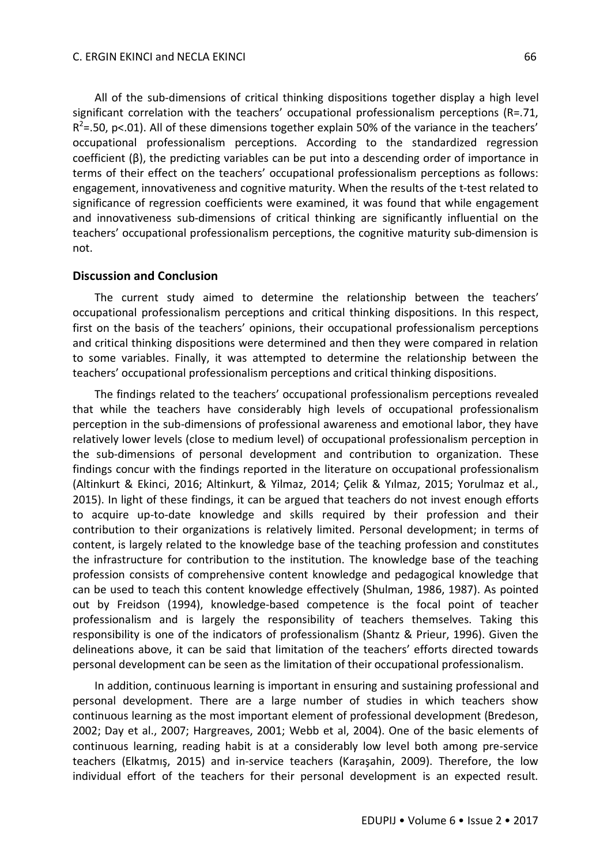All of the sub-dimensions of critical thinking dispositions together display a high level significant correlation with the teachers' occupational professionalism perceptions (R=.71,  $R^2$ =.50, p<.01). All of these dimensions together explain 50% of the variance in the teachers' occupational professionalism perceptions. According to the standardized regression coefficient (β), the predicting variables can be put into a descending order of importance in terms of their effect on the teachers' occupational professionalism perceptions as follows: engagement, innovativeness and cognitive maturity. When the results of the t-test related to significance of regression coefficients were examined, it was found that while engagement and innovativeness sub-dimensions of critical thinking are significantly influential on the teachers' occupational professionalism perceptions, the cognitive maturity sub-dimension is not.

# **Discussion and Conclusion**

The current study aimed to determine the relationship between the teachers' occupational professionalism perceptions and critical thinking dispositions. In this respect, first on the basis of the teachers' opinions, their occupational professionalism perceptions and critical thinking dispositions were determined and then they were compared in relation to some variables. Finally, it was attempted to determine the relationship between the teachers' occupational professionalism perceptions and critical thinking dispositions.

The findings related to the teachers' occupational professionalism perceptions revealed that while the teachers have considerably high levels of occupational professionalism perception in the sub-dimensions of professional awareness and emotional labor, they have relatively lower levels (close to medium level) of occupational professionalism perception in the sub-dimensions of personal development and contribution to organization. These findings concur with the findings reported in the literature on occupational professionalism (Altinkurt & Ekinci, 2016; Altinkurt, & Yilmaz, 2014; Çelik & Yılmaz, 2015; Yorulmaz et al., 2015). In light of these findings, it can be argued that teachers do not invest enough efforts to acquire up-to-date knowledge and skills required by their profession and their contribution to their organizations is relatively limited. Personal development; in terms of content, is largely related to the knowledge base of the teaching profession and constitutes the infrastructure for contribution to the institution. The knowledge base of the teaching profession consists of comprehensive content knowledge and pedagogical knowledge that can be used to teach this content knowledge effectively (Shulman, 1986, 1987). As pointed out by Freidson (1994), knowledge-based competence is the focal point of teacher professionalism and is largely the responsibility of teachers themselves. Taking this responsibility is one of the indicators of professionalism (Shantz & Prieur, 1996). Given the delineations above, it can be said that limitation of the teachers' efforts directed towards personal development can be seen as the limitation of their occupational professionalism.

In addition, continuous learning is important in ensuring and sustaining professional and personal development. There are a large number of studies in which teachers show continuous learning as the most important element of professional development (Bredeson, 2002; Day et al., 2007; Hargreaves, 2001; Webb et al, 2004). One of the basic elements of continuous learning, reading habit is at a considerably low level both among pre-service teachers (Elkatmış, 2015) and in-service teachers (Karaşahin, 2009). Therefore, the low individual effort of the teachers for their personal development is an expected result.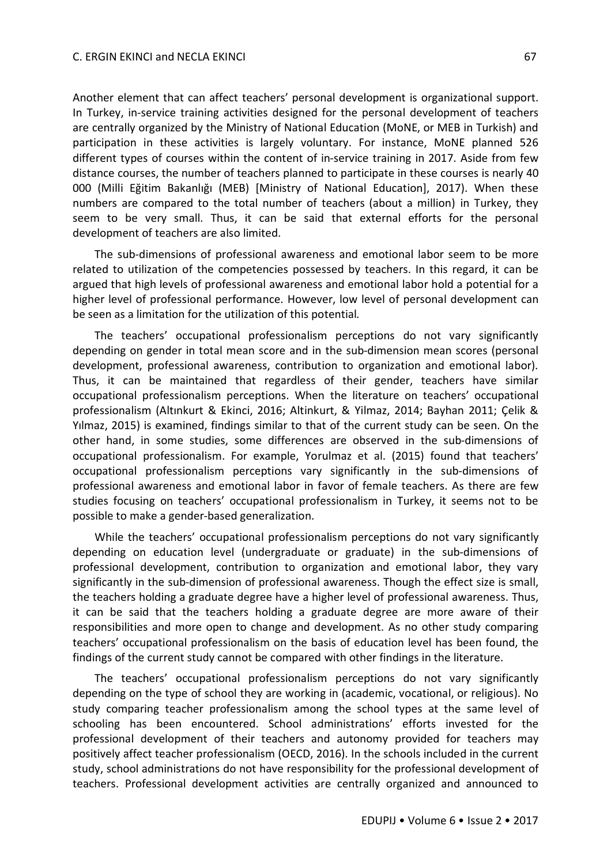Another element that can affect teachers' personal development is organizational support. In Turkey, in-service training activities designed for the personal development of teachers are centrally organized by the Ministry of National Education (MoNE, or MEB in Turkish) and participation in these activities is largely voluntary. For instance, MoNE planned 526 different types of courses within the content of in-service training in 2017. Aside from few distance courses, the number of teachers planned to participate in these courses is nearly 40 000 (Milli Eğitim Bakanlığı (MEB) [Ministry of National Education], 2017). When these numbers are compared to the total number of teachers (about a million) in Turkey, they seem to be very small. Thus, it can be said that external efforts for the personal development of teachers are also limited.

The sub-dimensions of professional awareness and emotional labor seem to be more related to utilization of the competencies possessed by teachers. In this regard, it can be argued that high levels of professional awareness and emotional labor hold a potential for a higher level of professional performance. However, low level of personal development can be seen as a limitation for the utilization of this potential.

The teachers' occupational professionalism perceptions do not vary significantly depending on gender in total mean score and in the sub-dimension mean scores (personal development, professional awareness, contribution to organization and emotional labor). Thus, it can be maintained that regardless of their gender, teachers have similar occupational professionalism perceptions. When the literature on teachers' occupational professionalism (Altınkurt & Ekinci, 2016; Altinkurt, & Yilmaz, 2014; Bayhan 2011; Çelik & Yılmaz, 2015) is examined, findings similar to that of the current study can be seen. On the other hand, in some studies, some differences are observed in the sub-dimensions of occupational professionalism. For example, Yorulmaz et al. (2015) found that teachers' occupational professionalism perceptions vary significantly in the sub-dimensions of professional awareness and emotional labor in favor of female teachers. As there are few studies focusing on teachers' occupational professionalism in Turkey, it seems not to be possible to make a gender-based generalization.

While the teachers' occupational professionalism perceptions do not vary significantly depending on education level (undergraduate or graduate) in the sub-dimensions of professional development, contribution to organization and emotional labor, they vary significantly in the sub-dimension of professional awareness. Though the effect size is small, the teachers holding a graduate degree have a higher level of professional awareness. Thus, it can be said that the teachers holding a graduate degree are more aware of their responsibilities and more open to change and development. As no other study comparing teachers' occupational professionalism on the basis of education level has been found, the findings of the current study cannot be compared with other findings in the literature.

The teachers' occupational professionalism perceptions do not vary significantly depending on the type of school they are working in (academic, vocational, or religious). No study comparing teacher professionalism among the school types at the same level of schooling has been encountered. School administrations' efforts invested for the professional development of their teachers and autonomy provided for teachers may positively affect teacher professionalism (OECD, 2016). In the schools included in the current study, school administrations do not have responsibility for the professional development of teachers. Professional development activities are centrally organized and announced to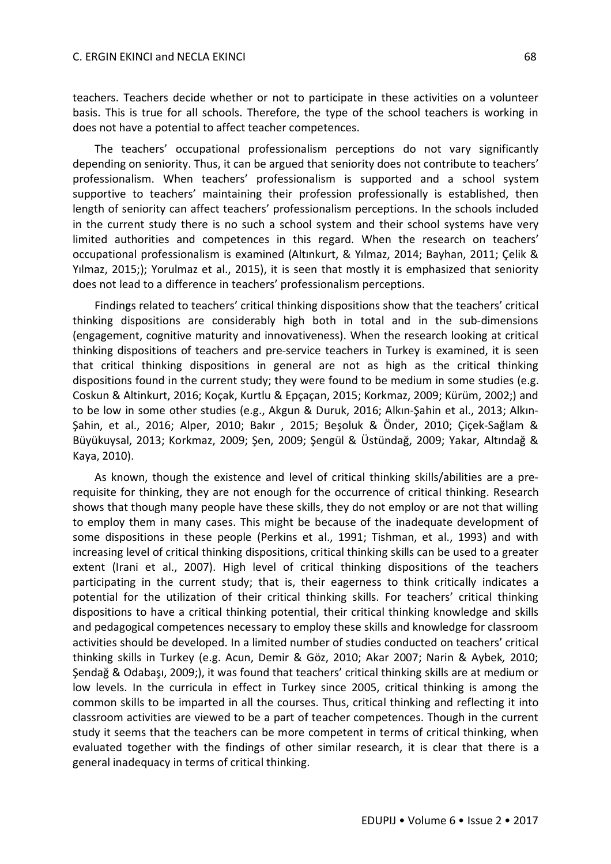#### C. ERGIN EKINCI and NECLA EKINCI 68

teachers. Teachers decide whether or not to participate in these activities on a volunteer basis. This is true for all schools. Therefore, the type of the school teachers is working in does not have a potential to affect teacher competences.

The teachers' occupational professionalism perceptions do not vary significantly depending on seniority. Thus, it can be argued that seniority does not contribute to teachers' professionalism. When teachers' professionalism is supported and a school system supportive to teachers' maintaining their profession professionally is established, then length of seniority can affect teachers' professionalism perceptions. In the schools included in the current study there is no such a school system and their school systems have very limited authorities and competences in this regard. When the research on teachers' occupational professionalism is examined (Altınkurt, & Yılmaz, 2014; Bayhan, 2011; Çelik & Yılmaz, 2015;); Yorulmaz et al., 2015), it is seen that mostly it is emphasized that seniority does not lead to a difference in teachers' professionalism perceptions.

Findings related to teachers' critical thinking dispositions show that the teachers' critical thinking dispositions are considerably high both in total and in the sub-dimensions (engagement, cognitive maturity and innovativeness). When the research looking at critical thinking dispositions of teachers and pre-service teachers in Turkey is examined, it is seen that critical thinking dispositions in general are not as high as the critical thinking dispositions found in the current study; they were found to be medium in some studies (e.g. Coskun & Altinkurt, 2016; Koçak, Kurtlu & Epçaçan, 2015; Korkmaz, 2009; Kürüm, 2002;) and to be low in some other studies (e.g., Akgun & Duruk, 2016; Alkın-Şahin et al., 2013; Alkın-Şahin, et al., 2016; Alper, 2010; Bakır , 2015; Beşoluk & Önder, 2010; Çiçek-Sağlam & Büyükuysal, 2013; Korkmaz, 2009; Şen, 2009; Şengül & Üstündağ, 2009; Yakar, Altındağ & Kaya, 2010).

As known, though the existence and level of critical thinking skills/abilities are a prerequisite for thinking, they are not enough for the occurrence of critical thinking. Research shows that though many people have these skills, they do not employ or are not that willing to employ them in many cases. This might be because of the inadequate development of some dispositions in these people (Perkins et al., 1991; Tishman, et al., 1993) and with increasing level of critical thinking dispositions, critical thinking skills can be used to a greater extent (Irani et al., 2007). High level of critical thinking dispositions of the teachers participating in the current study; that is, their eagerness to think critically indicates a potential for the utilization of their critical thinking skills. For teachers' critical thinking dispositions to have a critical thinking potential, their critical thinking knowledge and skills and pedagogical competences necessary to employ these skills and knowledge for classroom activities should be developed. In a limited number of studies conducted on teachers' critical thinking skills in Turkey (e.g. Acun, Demir & Göz, 2010; Akar 2007; Narin & Aybek*,* 2010; Şendağ & Odabaşı, 2009;), it was found that teachers' critical thinking skills are at medium or low levels. In the curricula in effect in Turkey since 2005, critical thinking is among the common skills to be imparted in all the courses. Thus, critical thinking and reflecting it into classroom activities are viewed to be a part of teacher competences. Though in the current study it seems that the teachers can be more competent in terms of critical thinking, when evaluated together with the findings of other similar research, it is clear that there is a general inadequacy in terms of critical thinking.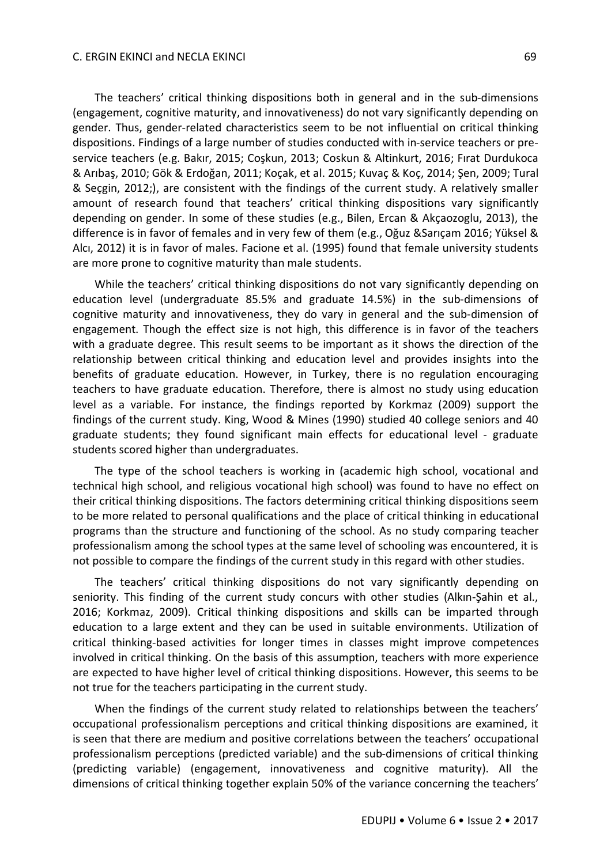#### C. ERGIN EKINCI and NECLA EKINCI 69

The teachers' critical thinking dispositions both in general and in the sub-dimensions (engagement, cognitive maturity, and innovativeness) do not vary significantly depending on gender. Thus, gender-related characteristics seem to be not influential on critical thinking dispositions. Findings of a large number of studies conducted with in-service teachers or preservice teachers (e.g. Bakır, 2015; Coşkun, 2013; Coskun & Altinkurt, 2016; Fırat Durdukoca & Arıbaş, 2010; Gök & Erdoğan, 2011; Koçak, et al. 2015; Kuvaç & Koç, 2014; Şen, 2009; Tural & Seçgin, 2012;), are consistent with the findings of the current study. A relatively smaller amount of research found that teachers' critical thinking dispositions vary significantly depending on gender. In some of these studies (e.g., Bilen, Ercan & Akçaozoglu, 2013), the difference is in favor of females and in very few of them (e.g., Oğuz &Sarıçam 2016; Yüksel & Alcı, 2012) it is in favor of males. Facione et al. (1995) found that female university students are more prone to cognitive maturity than male students.

While the teachers' critical thinking dispositions do not vary significantly depending on education level (undergraduate 85.5% and graduate 14.5%) in the sub-dimensions of cognitive maturity and innovativeness, they do vary in general and the sub-dimension of engagement. Though the effect size is not high, this difference is in favor of the teachers with a graduate degree. This result seems to be important as it shows the direction of the relationship between critical thinking and education level and provides insights into the benefits of graduate education. However, in Turkey, there is no regulation encouraging teachers to have graduate education. Therefore, there is almost no study using education level as a variable. For instance, the findings reported by Korkmaz (2009) support the findings of the current study. King, Wood & Mines (1990) studied 40 college seniors and 40 graduate students; they found significant main effects for educational level - graduate students scored higher than undergraduates.

The type of the school teachers is working in (academic high school, vocational and technical high school, and religious vocational high school) was found to have no effect on their critical thinking dispositions. The factors determining critical thinking dispositions seem to be more related to personal qualifications and the place of critical thinking in educational programs than the structure and functioning of the school. As no study comparing teacher professionalism among the school types at the same level of schooling was encountered, it is not possible to compare the findings of the current study in this regard with other studies.

The teachers' critical thinking dispositions do not vary significantly depending on seniority. This finding of the current study concurs with other studies (Alkın-Şahin et al., 2016; Korkmaz, 2009). Critical thinking dispositions and skills can be imparted through education to a large extent and they can be used in suitable environments. Utilization of critical thinking-based activities for longer times in classes might improve competences involved in critical thinking. On the basis of this assumption, teachers with more experience are expected to have higher level of critical thinking dispositions. However, this seems to be not true for the teachers participating in the current study.

When the findings of the current study related to relationships between the teachers' occupational professionalism perceptions and critical thinking dispositions are examined, it is seen that there are medium and positive correlations between the teachers' occupational professionalism perceptions (predicted variable) and the sub-dimensions of critical thinking (predicting variable) (engagement, innovativeness and cognitive maturity). All the dimensions of critical thinking together explain 50% of the variance concerning the teachers'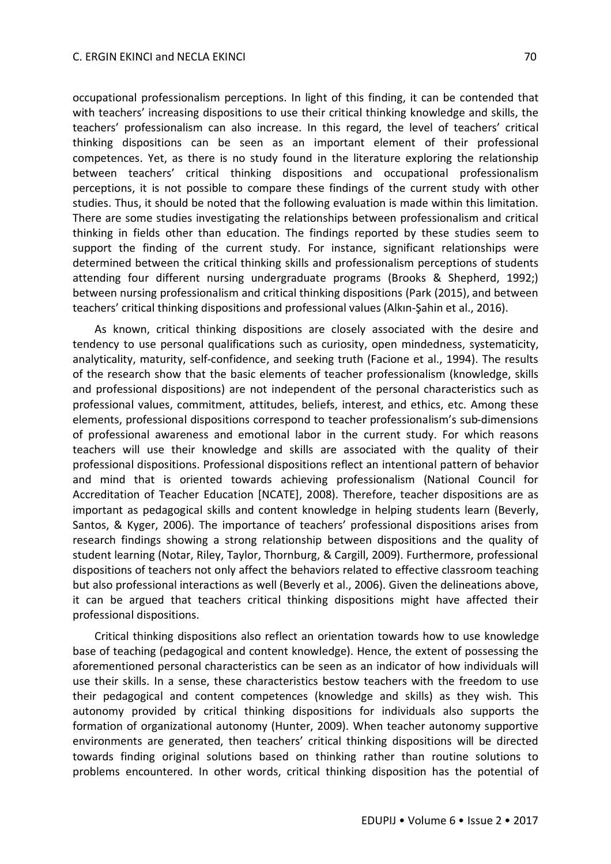occupational professionalism perceptions. In light of this finding, it can be contended that with teachers' increasing dispositions to use their critical thinking knowledge and skills, the teachers' professionalism can also increase. In this regard, the level of teachers' critical thinking dispositions can be seen as an important element of their professional competences. Yet, as there is no study found in the literature exploring the relationship between teachers' critical thinking dispositions and occupational professionalism perceptions, it is not possible to compare these findings of the current study with other studies. Thus, it should be noted that the following evaluation is made within this limitation. There are some studies investigating the relationships between professionalism and critical thinking in fields other than education. The findings reported by these studies seem to support the finding of the current study. For instance, significant relationships were determined between the critical thinking skills and professionalism perceptions of students attending four different nursing undergraduate programs (Brooks & Shepherd, 1992;) between nursing professionalism and critical thinking dispositions (Park (2015), and between teachers' critical thinking dispositions and professional values (Alkın-Şahin et al., 2016).

As known, critical thinking dispositions are closely associated with the desire and tendency to use personal qualifications such as curiosity, open mindedness, systematicity, analyticality, maturity, self-confidence, and seeking truth (Facione et al., 1994). The results of the research show that the basic elements of teacher professionalism (knowledge, skills and professional dispositions) are not independent of the personal characteristics such as professional values, commitment, attitudes, beliefs, interest, and ethics, etc. Among these elements, professional dispositions correspond to teacher professionalism's sub-dimensions of professional awareness and emotional labor in the current study. For which reasons teachers will use their knowledge and skills are associated with the quality of their professional dispositions. Professional dispositions reflect an intentional pattern of behavior and mind that is oriented towards achieving professionalism (National Council for Accreditation of Teacher Education [NCATE], 2008). Therefore, teacher dispositions are as important as pedagogical skills and content knowledge in helping students learn (Beverly, Santos, & Kyger, 2006). The importance of teachers' professional dispositions arises from research findings showing a strong relationship between dispositions and the quality of student learning (Notar, Riley, Taylor, Thornburg, & Cargill, 2009). Furthermore, professional dispositions of teachers not only affect the behaviors related to effective classroom teaching but also professional interactions as well (Beverly et al., 2006). Given the delineations above, it can be argued that teachers critical thinking dispositions might have affected their professional dispositions.

Critical thinking dispositions also reflect an orientation towards how to use knowledge base of teaching (pedagogical and content knowledge). Hence, the extent of possessing the aforementioned personal characteristics can be seen as an indicator of how individuals will use their skills. In a sense, these characteristics bestow teachers with the freedom to use their pedagogical and content competences (knowledge and skills) as they wish. This autonomy provided by critical thinking dispositions for individuals also supports the formation of organizational autonomy (Hunter, 2009). When teacher autonomy supportive environments are generated, then teachers' critical thinking dispositions will be directed towards finding original solutions based on thinking rather than routine solutions to problems encountered. In other words, critical thinking disposition has the potential of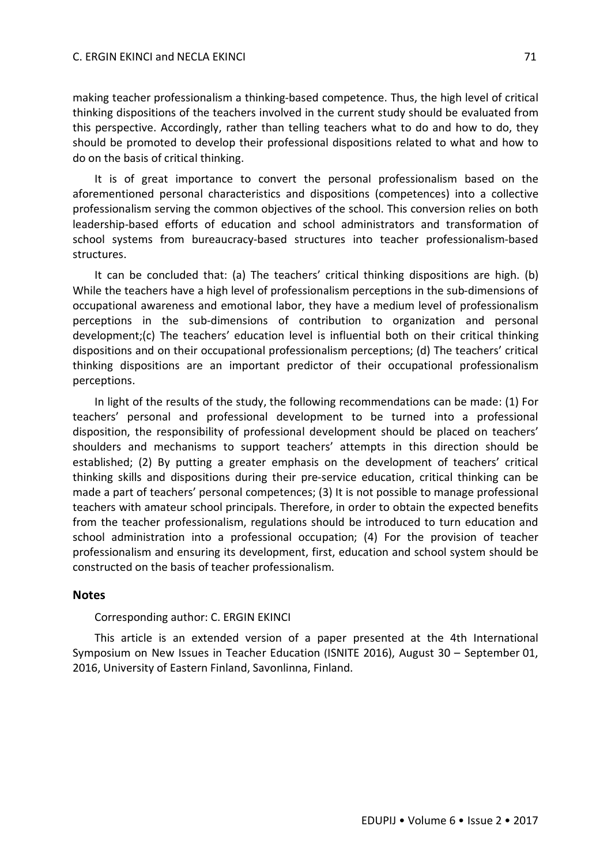making teacher professionalism a thinking-based competence. Thus, the high level of critical thinking dispositions of the teachers involved in the current study should be evaluated from this perspective. Accordingly, rather than telling teachers what to do and how to do, they should be promoted to develop their professional dispositions related to what and how to do on the basis of critical thinking.

It is of great importance to convert the personal professionalism based on the aforementioned personal characteristics and dispositions (competences) into a collective professionalism serving the common objectives of the school. This conversion relies on both leadership-based efforts of education and school administrators and transformation of school systems from bureaucracy-based structures into teacher professionalism-based structures.

It can be concluded that: (a) The teachers' critical thinking dispositions are high. (b) While the teachers have a high level of professionalism perceptions in the sub-dimensions of occupational awareness and emotional labor, they have a medium level of professionalism perceptions in the sub-dimensions of contribution to organization and personal development;(c) The teachers' education level is influential both on their critical thinking dispositions and on their occupational professionalism perceptions; (d) The teachers' critical thinking dispositions are an important predictor of their occupational professionalism perceptions.

In light of the results of the study, the following recommendations can be made: (1) For teachers' personal and professional development to be turned into a professional disposition, the responsibility of professional development should be placed on teachers' shoulders and mechanisms to support teachers' attempts in this direction should be established; (2) By putting a greater emphasis on the development of teachers' critical thinking skills and dispositions during their pre-service education, critical thinking can be made a part of teachers' personal competences; (3) It is not possible to manage professional teachers with amateur school principals. Therefore, in order to obtain the expected benefits from the teacher professionalism, regulations should be introduced to turn education and school administration into a professional occupation; (4) For the provision of teacher professionalism and ensuring its development, first, education and school system should be constructed on the basis of teacher professionalism.

#### **Notes**

#### Corresponding author: C. ERGIN EKINCI

This article is an extended version of a paper presented at the 4th International Symposium on New Issues in Teacher Education (ISNITE 2016), August 30 – September 01, 2016, University of Eastern Finland, Savonlinna, Finland.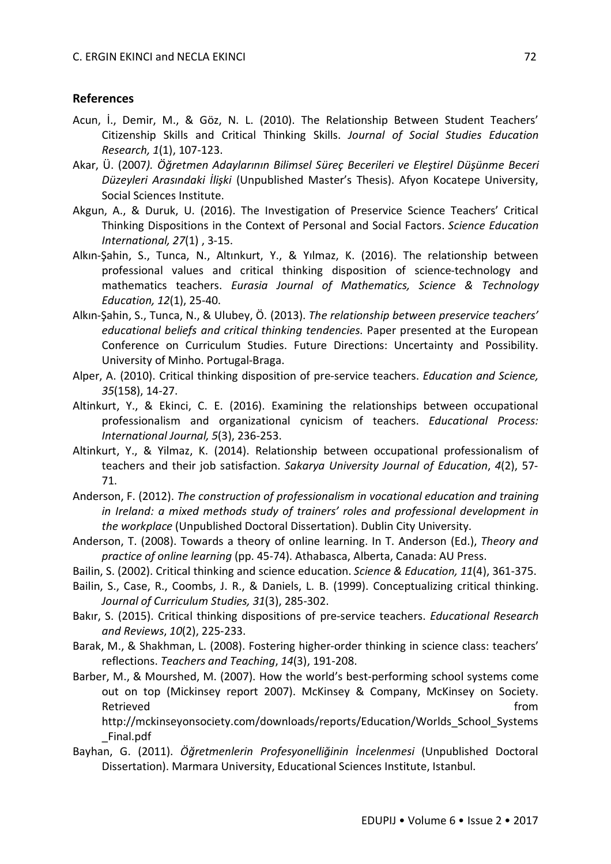### **References**

- Acun, İ., Demir, M., & Göz, N. L. (2010). The Relationship Between Student Teachers' Citizenship Skills and Critical Thinking Skills. *Journal of Social Studies Education Research, 1*(1), 107-123.
- Akar, Ü. (2007*). Öğretmen Adaylarının Bilimsel Süreç Becerileri ve Eleştirel Düşünme Beceri Düzeyleri Arasındaki İlişki* (Unpublished Master's Thesis). Afyon Kocatepe University, Social Sciences Institute.
- Akgun, A., & Duruk, U. (2016). The Investigation of Preservice Science Teachers' Critical Thinking Dispositions in the Context of Personal and Social Factors. *Science Education International, 27*(1) , 3-15.
- Alkın-Şahin, S., Tunca, N., Altınkurt, Y., & Yılmaz, K. (2016). The relationship between professional values and critical thinking disposition of science-technology and mathematics teachers. *Eurasia Journal of Mathematics, Science & Technology Education, 12*(1), 25-40.
- Alkın-Şahin, S., Tunca, N., & Ulubey, Ö. (2013). *The relationship between preservice teachers' educational beliefs and critical thinking tendencies*. Paper presented at the European Conference on Curriculum Studies. Future Directions: Uncertainty and Possibility. University of Minho. Portugal-Braga.
- Alper, A. (2010). Critical thinking disposition of pre-service teachers. *Education and Science, 35*(158), 14-27.
- Altinkurt, Y., & Ekinci, C. E. (2016). Examining the relationships between occupational professionalism and organizational cynicism of teachers. *Educational Process: International Journal, 5*(3), 236-253.
- Altinkurt, Y., & Yilmaz, K. (2014). Relationship between occupational professionalism of teachers and their job satisfaction. *Sakarya University Journal of Education*, *4*(2), 57- 71.
- Anderson, F. (2012). *The construction of professionalism in vocational education and training in Ireland: a mixed methods study of trainers' roles and professional development in the workplace* (Unpublished Doctoral Dissertation). Dublin City University.
- Anderson, T. (2008). Towards a theory of online learning. In T. Anderson (Ed.), *Theory and practice of online learning* (pp. 45-74). Athabasca, Alberta, Canada: AU Press.
- Bailin, S. (2002). Critical thinking and science education. *Science & Education, 11*(4), 361-375.
- Bailin, S., Case, R., Coombs, J. R., & Daniels, L. B. (1999). Conceptualizing critical thinking. *Journal of Curriculum Studies, 31*(3), 285-302.
- Bakır, S. (2015). Critical thinking dispositions of pre-service teachers. *Educational Research and Reviews*, *10*(2), 225-233.
- Barak, M., & Shakhman, L. (2008). Fostering higher-order thinking in science class: teachers' reflections. *Teachers and Teaching*, *14*(3), 191-208.
- Barber, M., & Mourshed, M. (2007). How the world's best-performing school systems come out on top (Mickinsey report 2007). McKinsey & Company, McKinsey on Society. Retrieved **from the contract of the contract of the contract of the contract of the contract of the contract of the contract of the contract of the contract of the contract of the contract of the contract of the contract o**

http://mckinseyonsociety.com/downloads/reports/Education/Worlds\_School\_Systems \_Final.pdf

Bayhan, G. (2011). *Öğretmenlerin Profesyonelliğinin İncelenmesi* (Unpublished Doctoral Dissertation). Marmara University, Educational Sciences Institute, Istanbul.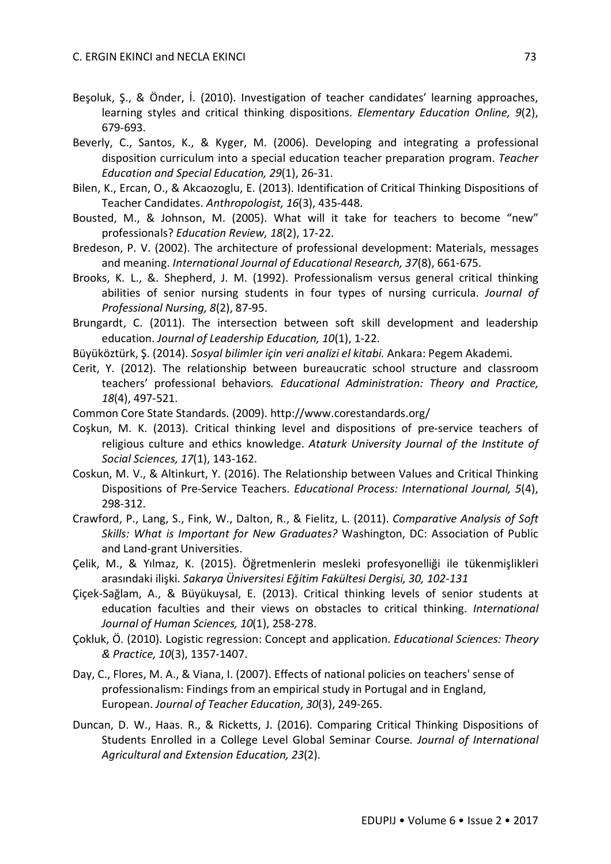- Beşoluk, Ş., & Önder, İ. (2010). Investigation of teacher candidates' learning approaches, learning styles and critical thinking dispositions. *Elementary Education Online, 9*(2), 679-693.
- Beverly, C., Santos, K., & Kyger, M. (2006). Developing and integrating a professional disposition curriculum into a special education teacher preparation program. *Teacher Education and Special Education, 29*(1), 26-31.
- Bilen, K., Ercan, O., & Akcaozoglu, E. (2013). Identification of Critical Thinking Dispositions of Teacher Candidates. *Anthropologist, 16*(3), 435-448.
- Bousted, M., & Johnson, M. (2005). What will it take for teachers to become "new" professionals? *Education Review, 18*(2), 17-22.
- Bredeson, P. V. (2002). The architecture of professional development: Materials, messages and meaning. *International Journal of Educational Research, 37*(8), 661-675.
- Brooks, K. L., &. Shepherd, J. M. (1992). Professionalism versus general critical thinking abilities of senior nursing students in four types of nursing curricula. *Journal of Professional Nursing, 8*(2), 87-95.
- Brungardt, C. (2011). The intersection between soft skill development and leadership education. *Journal of Leadership Education, 10*(1), 1-22.
- Büyüköztürk, Ş. (2014). *Sosyal bilimler için veri analizi el kitabi.* Ankara: Pegem Akademi.
- Cerit, Y. (2012). The relationship between bureaucratic school structure and classroom teachers' professional behaviors*. Educational Administration: Theory and Practice, 18*(4), 497-521.
- Common Core State Standards. (2009). http://www.corestandards.org/
- Coşkun, M. K. (2013). Critical thinking level and dispositions of pre-service teachers of religious culture and ethics knowledge. *Ataturk University Journal of the Institute of Social Sciences, 17*(1), 143-162.
- Coskun, M. V., & Altinkurt, Y. (2016). The Relationship between Values and Critical Thinking Dispositions of Pre-Service Teachers. *Educational Process: International Journal, 5*(4), 298-312.
- Crawford, P., Lang, S., Fink, W., Dalton, R., & Fielitz, L. (2011). *Comparative Analysis of Soft Skills: What is Important for New Graduates?* Washington, DC: Association of Public and Land-grant Universities.
- Çelik, M., & Yılmaz, K. (2015). Öğretmenlerin mesleki profesyonelliği ile tükenmişlikleri arasındaki ilişki. *Sakarya Üniversitesi Eğitim Fakültesi Dergisi, 30, 102-131*
- Çiçek-Sağlam, A., & Büyükuysal, E. (2013). Critical thinking levels of senior students at education faculties and their views on obstacles to critical thinking. *International Journal of Human Sciences, 10*(1), 258-278.
- Çokluk, Ö. (2010). Logistic regression: Concept and application. *Educational Sciences: Theory & Practice, 10*(3), 1357-1407.
- Day, C., Flores, M. A., & Viana, I. (2007). Effects of national policies on teachers' sense of professionalism: Findings from an empirical study in Portugal and in England, European. *Journal of Teacher Education*, *30*(3), 249-265.
- Duncan, D. W., Haas. R., & Ricketts, J. (2016). Comparing Critical Thinking Dispositions of Students Enrolled in a College Level Global Seminar Course*. Journal of International Agricultural and Extension Education, 23*(2).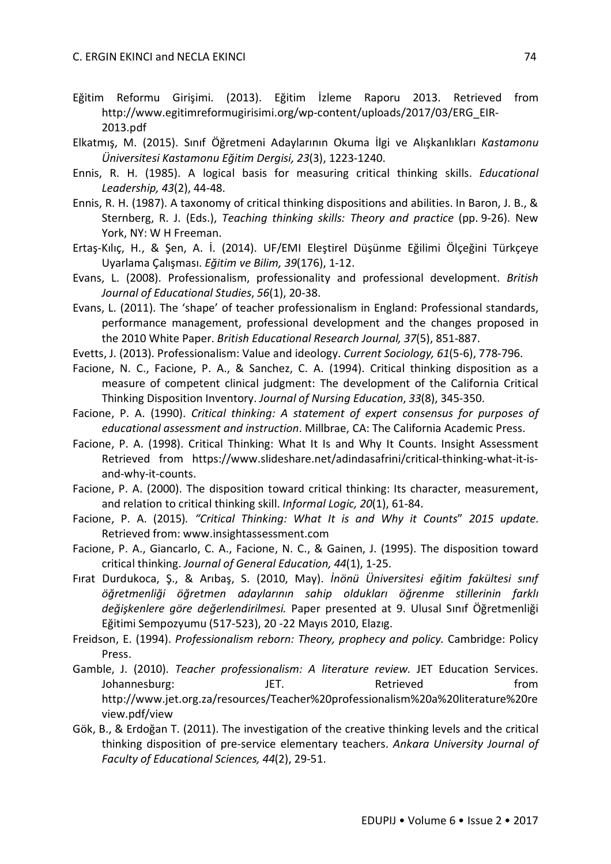- Eğitim Reformu Girişimi. (2013). Eğitim İzleme Raporu 2013. Retrieved from http://www.egitimreformugirisimi.org/wp-content/uploads/2017/03/ERG\_EIR-2013.pdf
- Elkatmış, M. (2015). Sınıf Öğretmeni Adaylarının Okuma İlgi ve Alışkanlıkları *Kastamonu Üniversitesi Kastamonu Eğitim Dergisi, 23*(3), 1223-1240.
- Ennis, R. H. (1985). A logical basis for measuring critical thinking skills. *Educational Leadership, 43*(2), 44-48.
- Ennis, R. H. (1987). A taxonomy of critical thinking dispositions and abilities. In Baron, J. B., & Sternberg, R. J. (Eds.), *Teaching thinking skills: Theory and practice* (pp. 9-26). New York, NY: W H Freeman.
- Ertaş-Kılıç, H., & Şen, A. İ. (2014). UF/EMI Eleştirel Düşünme Eğilimi Ölçeğini Türkçeye Uyarlama Çalışması. *Eğitim ve Bilim, 39*(176), 1-12.
- Evans, L. (2008). Professionalism, professionality and professional development. *British Journal of Educational Studies*, *56*(1), 20-38.
- Evans, L. (2011). The 'shape' of teacher professionalism in England: Professional standards, performance management, professional development and the changes proposed in the 2010 White Paper. *British Educational Research Journal, 37*(5), 851-887.
- Evetts, J. (2013). Professionalism: Value and ideology. *Current Sociology, 61*(5-6), 778-796.
- Facione, N. C., Facione, P. A., & Sanchez, C. A. (1994). Critical thinking disposition as a measure of competent clinical judgment: The development of the California Critical Thinking Disposition Inventory. *Journal of Nursing Education*, *33*(8), 345-350.
- Facione, P. A. (1990). *Critical thinking: A statement of expert consensus for purposes of educational assessment and instruction*. Millbrae, CA: The California Academic Press.
- Facione, P. A. (1998). Critical Thinking: What It Is and Why It Counts. Insight Assessment Retrieved from https://www.slideshare.net/adindasafrini/critical-thinking-what-it-isand-why-it-counts.
- Facione, P. A. (2000). The disposition toward critical thinking: Its character, measurement, and relation to critical thinking skill. *Informal Logic, 20*(1), 61-84.
- Facione, P. A. (2015)*. "Critical Thinking: What It is and Why it Counts*" *2015 update*. Retrieved from: www.insightassessment.com
- Facione, P. A., Giancarlo, C. A., Facione, N. C., & Gainen, J. (1995). The disposition toward critical thinking. *Journal of General Education, 44*(1), 1-25.
- Fırat Durdukoca, Ş., & Arıbaş, S. (2010, May). *İnönü Üniversitesi eğitim fakültesi sınıf öğretmenliği öğretmen adaylarının sahip oldukları öğrenme stillerinin farklı değişkenlere göre değerlendirilmesi.* Paper presented at 9. Ulusal Sınıf Öğretmenliği Eğitimi Sempozyumu (517-523), 20 -22 Mayıs 2010, Elazıg.
- Freidson, E. (1994). *Professionalism reborn: Theory, prophecy and policy.* Cambridge: Policy Press.
- Gamble, J. (2010). *Teacher professionalism: A literature review.* JET Education Services. Johannesburg: JET. Retrieved from http://www.jet.org.za/resources/Teacher%20professionalism%20a%20literature%20re view.pdf/view
- Gök, B., & Erdoğan T. (2011). The investigation of the creative thinking levels and the critical thinking disposition of pre-service elementary teachers. *Ankara University Journal of Faculty of Educational Sciences, 44*(2), 29-51.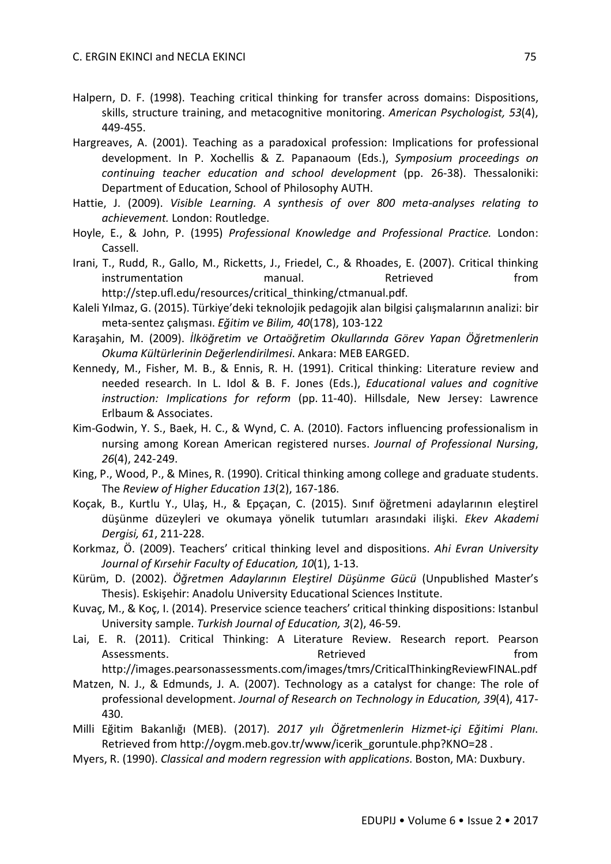- Halpern, D. F. (1998). Teaching critical thinking for transfer across domains: Dispositions, skills, structure training, and metacognitive monitoring. *American Psychologist, 53*(4), 449-455.
- Hargreaves, A. (2001). Teaching as a paradoxical profession: Implications for professional development. In P. Xochellis & Z. Papanaoum (Eds.), *Symposium proceedings on continuing teacher education and school development* (pp. 26-38). Thessaloniki: Department of Education, School of Philosophy AUTH.
- Hattie, J. (2009). *Visible Learning. A synthesis of over 800 meta-analyses relating to achievement.* London: Routledge.
- Hoyle, E., & John, P. (1995) *Professional Knowledge and Professional Practice.* London: Cassell.
- Irani, T., Rudd, R., Gallo, M., Ricketts, J., Friedel, C., & Rhoades, E. (2007). Critical thinking instrumentation manual. Retrieved from http://step.ufl.edu/resources/critical\_thinking/ctmanual.pdf.
- Kaleli Yılmaz, G. (2015). Türkiye'deki teknolojik pedagojik alan bilgisi çalışmalarının analizi: bir meta-sentez çalışması. *Eğitim ve Bilim, 40*(178), 103-122
- Karaşahin, M. (2009). *İlköğretim ve Ortaöğretim Okullarında Görev Yapan Öğretmenlerin Okuma Kültürlerinin Değerlendirilmesi*. Ankara: MEB EARGED.
- Kennedy, M., Fisher, M. B., & Ennis, R. H. (1991). Critical thinking: Literature review and needed research. In L. Idol & B. F. Jones (Eds.), *Educational values and cognitive instruction: Implications for reform* (pp. 11-40). Hillsdale, New Jersey: Lawrence Erlbaum & Associates.
- Kim-Godwin, Y. S., Baek, H. C., & Wynd, C. A. (2010). Factors influencing professionalism in nursing among Korean American registered nurses. *Journal of Professional Nursing*, *26*(4), 242-249.
- King, P., Wood, P., & Mines, R. (1990). Critical thinking among college and graduate students. The *Review of Higher Education 13*(2), 167-186.
- Koçak, B., Kurtlu Y., Ulaş, H., & Epçaçan, C. (2015). Sınıf öğretmeni adaylarının eleştirel düşünme düzeyleri ve okumaya yönelik tutumları arasındaki ilişki. *Ekev Akademi Dergisi, 61*, 211-228.
- Korkmaz, Ö. (2009). Teachers' critical thinking level and dispositions. *Ahi Evran University Journal of Kırsehir Faculty of Education, 10*(1), 1-13.
- Kürüm, D. (2002). *Öğretmen Adaylarının Eleştirel Düşünme Gücü* (Unpublished Master's Thesis). Eskişehir: Anadolu University Educational Sciences Institute.
- Kuvaç, M., & Koç, I. (2014). Preservice science teachers' critical thinking dispositions: Istanbul University sample. *Turkish Journal of Education, 3*(2), 46-59.
- Lai, E. R. (2011). Critical Thinking: A Literature Review. Research report. Pearson Assessments. The contract of the contract of the Retrieved contract of the from the from http://images.pearsonassessments.com/images/tmrs/CriticalThinkingReviewFINAL.pdf
- Matzen, N. J., & Edmunds, J. A. (2007). Technology as a catalyst for change: The role of professional development. *Journal of Research on Technology in Education, 39*(4), 417- 430.
- Milli Eğitim Bakanlığı (MEB). (2017). *2017 yılı Öğretmenlerin Hizmet-içi Eğitimi Planı*. Retrieved from http://oygm.meb.gov.tr/www/icerik\_goruntule.php?KNO=28 .
- Myers, R. (1990). *Classical and modern regression with applications*. Boston, MA: Duxbury.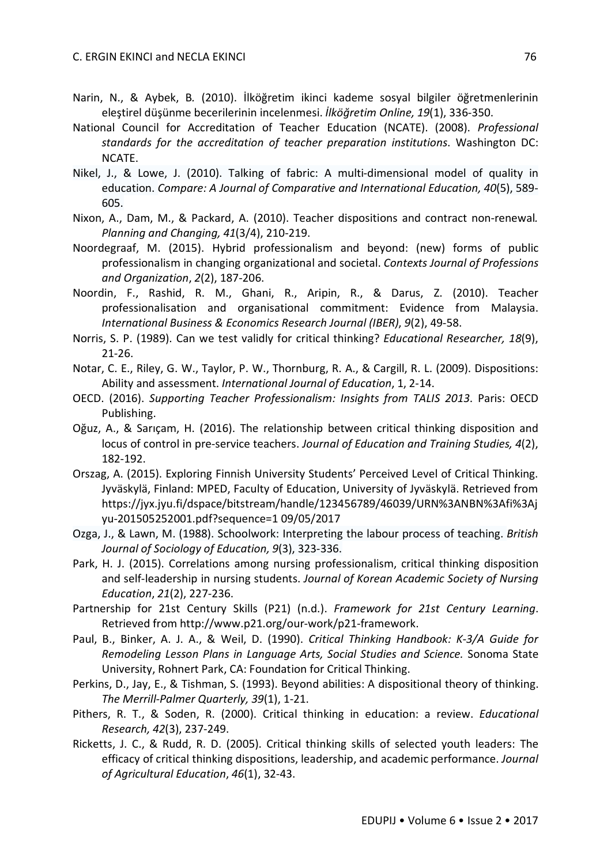- Narin, N., & Aybek, B*.* (2010). İlköğretim ikinci kademe sosyal bilgiler öğretmenlerinin eleştirel düşünme becerilerinin incelenmesi. *İlköğretim Online, 19*(1), 336-350.
- National Council for Accreditation of Teacher Education (NCATE). (2008). *Professional standards for the accreditation of teacher preparation institutions*. Washington DC: NCATE.
- Nikel, J., & Lowe, J. (2010). Talking of fabric: A multi-dimensional model of quality in education. *Compare: A Journal of Comparative and International Education, 40*(5), 589- 605.
- Nixon, A., Dam, M., & Packard, A. (2010). Teacher dispositions and contract non-renewal*. Planning and Changing, 41*(3/4), 210-219.
- Noordegraaf, M. (2015). Hybrid professionalism and beyond: (new) forms of public professionalism in changing organizational and societal. *Contexts Journal of Professions and Organization*, *2*(2), 187-206.
- Noordin, F., Rashid, R. M., Ghani, R., Aripin, R., & Darus, Z. (2010). Teacher professionalisation and organisational commitment: Evidence from Malaysia. *International Business & Economics Research Journal (IBER)*, *9*(2), 49-58.
- Norris, S. P. (1989). Can we test validly for critical thinking? *Educational Researcher, 18*(9), 21-26.
- Notar, C. E., Riley, G. W., Taylor, P. W., Thornburg, R. A., & Cargill, R. L. (2009). Dispositions: Ability and assessment. *International Journal of Education*, 1, 2-14.
- OECD. (2016). *Supporting Teacher Professionalism: Insights from TALIS 2013*. Paris: OECD Publishing.
- Oğuz, A., & Sarıçam, H. (2016). The relationship between critical thinking disposition and locus of control in pre-service teachers. *Journal of Education and Training Studies, 4*(2), 182-192.
- Orszag, A. (2015). Exploring Finnish University Students' Perceived Level of Critical Thinking. Jyväskylä, Finland: MPED, Faculty of Education, University of Jyväskylä. Retrieved from https://jyx.jyu.fi/dspace/bitstream/handle/123456789/46039/URN%3ANBN%3Afi%3Aj yu-201505252001.pdf?sequence=1 09/05/2017
- Ozga, J., & Lawn, M. (1988). Schoolwork: Interpreting the labour process of teaching. *British Journal of Sociology of Education, 9*(3), 323-336.
- Park, H. J. (2015). Correlations among nursing professionalism, critical thinking disposition and self-leadership in nursing students. *Journal of Korean Academic Society of Nursing Education*, *21*(2), 227-236.
- Partnership for 21st Century Skills (P21) (n.d.). *Framework for 21st Century Learning*. Retrieved from http://www.p21.org/our-work/p21-framework.
- Paul, B., Binker, A. J. A., & Weil, D. (1990). *Critical Thinking Handbook: K-3/A Guide for Remodeling Lesson Plans in Language Arts, Social Studies and Science.* Sonoma State University, Rohnert Park, CA: Foundation for Critical Thinking.
- Perkins, D., Jay, E., & Tishman, S. (1993). Beyond abilities: A dispositional theory of thinking. *The Merrill-Palmer Quarterly, 39*(1), 1-21.
- Pithers, R. T., & Soden, R. (2000). Critical thinking in education: a review. *Educational Research, 42*(3), 237-249.
- Ricketts, J. C., & Rudd, R. D. (2005). Critical thinking skills of selected youth leaders: The efficacy of critical thinking dispositions, leadership, and academic performance. *Journal of Agricultural Education*, *46*(1), 32-43.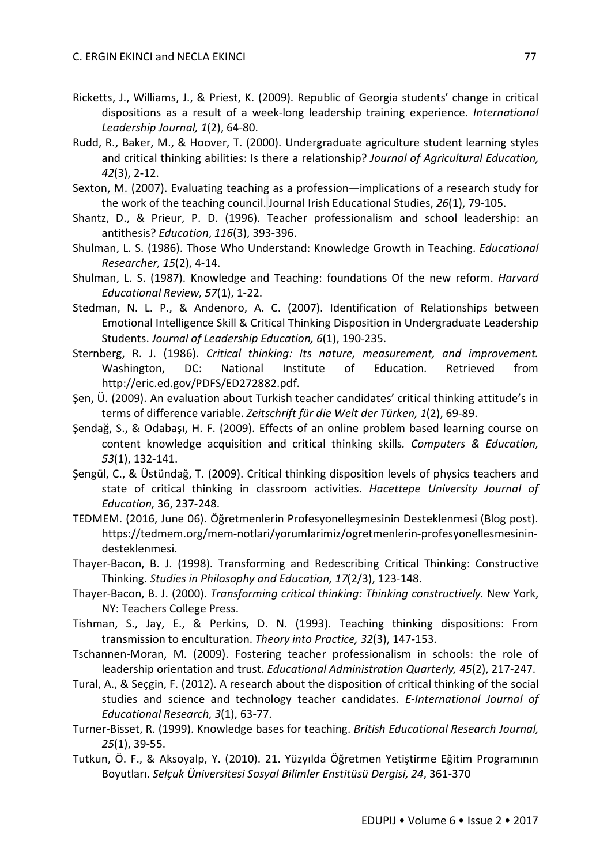- Ricketts, J., Williams, J., & Priest, K. (2009). Republic of Georgia students' change in critical dispositions as a result of a week-long leadership training experience. *International Leadership Journal, 1*(2), 64-80.
- Rudd, R., Baker, M., & Hoover, T. (2000). Undergraduate agriculture student learning styles and critical thinking abilities: Is there a relationship? *Journal of Agricultural Education, 42*(3), 2-12.
- Sexton, M. (2007). Evaluating teaching as a profession—implications of a research study for the work of the teaching council. Journal Irish Educational Studies, *26*(1), 79-105.
- Shantz, D., & Prieur, P. D. (1996). Teacher professionalism and school leadership: an antithesis? *Education*, *116*(3), 393-396.
- Shulman, L. S. (1986). Those Who Understand: Knowledge Growth in Teaching. *Educational Researcher, 15*(2), 4-14.
- Shulman, L. S. (1987). Knowledge and Teaching: foundations Of the new reform. *Harvard Educational Review, 57*(1), 1-22.
- Stedman, N. L. P., & Andenoro, A. C. (2007). Identification of Relationships between Emotional Intelligence Skill & Critical Thinking Disposition in Undergraduate Leadership Students. *Journal of Leadership Education, 6*(1), 190-235.
- Sternberg, R. J. (1986). *Critical thinking: Its nature, measurement, and improvement.* Washington, DC: National Institute of Education. Retrieved from http://eric.ed.gov/PDFS/ED272882.pdf.
- Şen, Ü. (2009). An evaluation about Turkish teacher candidates' critical thinking attitude's in terms of difference variable. *Zeitschrift für die Welt der Türken, 1*(2), 69-89.
- Şendağ, S., & Odabaşı, H. F. (2009). Effects of an online problem based learning course on content knowledge acquisition and critical thinking skills*. Computers & Education, 53*(1), 132-141.
- Şengül, C., & Üstündağ, T. (2009). Critical thinking disposition levels of physics teachers and state of critical thinking in classroom activities. *Hacettepe University Journal of Education,* 36, 237-248.
- TEDMEM. (2016, June 06). Öğretmenlerin Profesyonelleşmesinin Desteklenmesi (Blog post). https://tedmem.org/mem-notlari/yorumlarimiz/ogretmenlerin-profesyonellesmesinindesteklenmesi.
- Thayer-Bacon, B. J. (1998). Transforming and Redescribing Critical Thinking: Constructive Thinking. *Studies in Philosophy and Education, 17*(2/3), 123-148.
- Thayer-Bacon, B. J. (2000). *Transforming critical thinking: Thinking constructively*. New York, NY: Teachers College Press.
- Tishman, S., Jay, E., & Perkins, D. N. (1993). Teaching thinking dispositions: From transmission to enculturation. *Theory into Practice, 32*(3), 147-153.
- Tschannen-Moran, M. (2009). Fostering teacher professionalism in schools: the role of leadership orientation and trust. *Educational Administration Quarterly, 45*(2), 217-247.
- Tural, A., & Seçgin, F. (2012). A research about the disposition of critical thinking of the social studies and science and technology teacher candidates. *E-International Journal of Educational Research, 3*(1), 63-77.
- Turner-Bisset, R. (1999). Knowledge bases for teaching. *British Educational Research Journal, 25*(1), 39-55.
- Tutkun, Ö. F., & Aksoyalp, Y. (2010). 21. Yüzyılda Öğretmen Yetiştirme Eğitim Programının Boyutları. *Selçuk Üniversitesi Sosyal Bilimler Enstitüsü Dergisi, 24*, 361-370